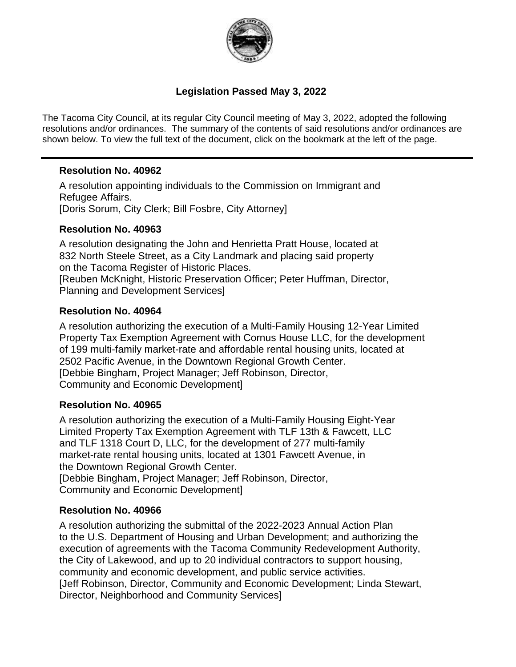

### **Legislation Passed May 3, 2022**

The Tacoma City Council, at its regular City Council meeting of May 3, 2022, adopted the following resolutions and/or ordinances. The summary of the contents of said resolutions and/or ordinances are shown below. To view the full text of the document, click on the bookmark at the left of the page.

### **Resolution No. 40962**

A resolution appointing individuals to the Commission on Immigrant and Refugee Affairs. [Doris Sorum, City Clerk; Bill Fosbre, City Attorney]

### **Resolution No. 40963**

A resolution designating the John and Henrietta Pratt House, located at 832 North Steele Street, as a City Landmark and placing said property on the Tacoma Register of Historic Places. [Reuben McKnight, Historic Preservation Officer; Peter Huffman, Director, Planning and Development Services]

### **Resolution No. 40964**

A resolution authorizing the execution of a Multi-Family Housing 12-Year Limited Property Tax Exemption Agreement with Cornus House LLC, for the development of 199 multi-family market-rate and affordable rental housing units, located at 2502 Pacific Avenue, in the Downtown Regional Growth Center. [Debbie Bingham, Project Manager; Jeff Robinson, Director, Community and Economic Development]

### **Resolution No. 40965**

A resolution authorizing the execution of a Multi-Family Housing Eight-Year Limited Property Tax Exemption Agreement with TLF 13th & Fawcett, LLC and TLF 1318 Court D, LLC, for the development of 277 multi-family market-rate rental housing units, located at 1301 Fawcett Avenue, in the Downtown Regional Growth Center. [Debbie Bingham, Project Manager; Jeff Robinson, Director,

Community and Economic Development]

### **Resolution No. 40966**

A resolution authorizing the submittal of the 2022-2023 Annual Action Plan to the U.S. Department of Housing and Urban Development; and authorizing the execution of agreements with the Tacoma Community Redevelopment Authority, the City of Lakewood, and up to 20 individual contractors to support housing, community and economic development, and public service activities. [Jeff Robinson, Director, Community and Economic Development; Linda Stewart, Director, Neighborhood and Community Services]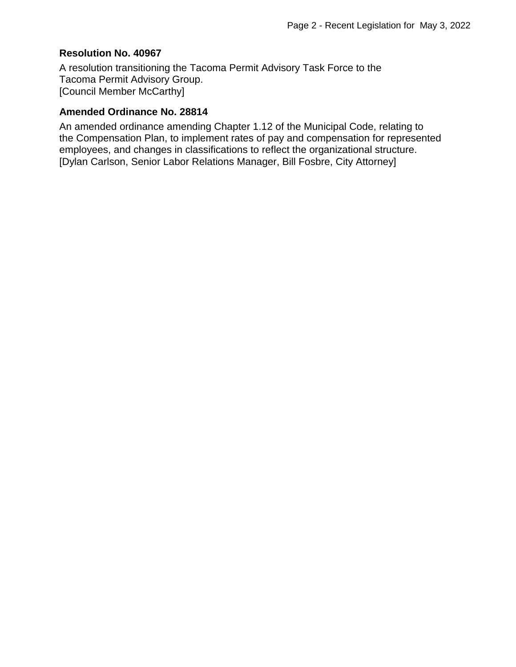#### **Resolution No. 40967**

A resolution transitioning the Tacoma Permit Advisory Task Force to the Tacoma Permit Advisory Group. [Council Member McCarthy]

#### **Amended Ordinance No. 28814**

An amended ordinance amending Chapter 1.12 of the Municipal Code, relating to the Compensation Plan, to implement rates of pay and compensation for represented employees, and changes in classifications to reflect the organizational structure. [Dylan Carlson, Senior Labor Relations Manager, Bill Fosbre, City Attorney]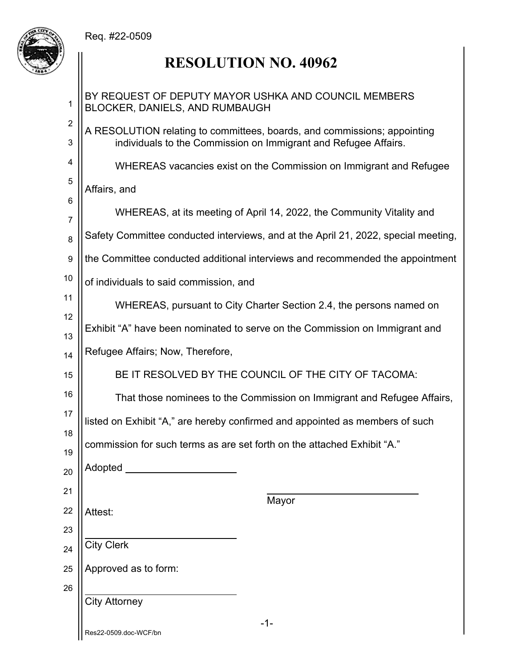

| 1                             | BY REQUEST OF DEPUTY MAYOR USHKA AND COUNCIL MEMBERS<br>BLOCKER, DANIELS, AND RUMBAUGH                                                      |  |  |
|-------------------------------|---------------------------------------------------------------------------------------------------------------------------------------------|--|--|
| $\overline{c}$<br>$\mathsf 3$ | A RESOLUTION relating to committees, boards, and commissions; appointing<br>individuals to the Commission on Immigrant and Refugee Affairs. |  |  |
| 4                             | WHEREAS vacancies exist on the Commission on Immigrant and Refugee                                                                          |  |  |
| 5                             | Affairs, and                                                                                                                                |  |  |
| 6                             | WHEREAS, at its meeting of April 14, 2022, the Community Vitality and                                                                       |  |  |
| 7                             | Safety Committee conducted interviews, and at the April 21, 2022, special meeting,                                                          |  |  |
| 8                             |                                                                                                                                             |  |  |
| 9                             | the Committee conducted additional interviews and recommended the appointment                                                               |  |  |
| 10                            | of individuals to said commission, and                                                                                                      |  |  |
| 11                            | WHEREAS, pursuant to City Charter Section 2.4, the persons named on                                                                         |  |  |
| 12<br>13                      | Exhibit "A" have been nominated to serve on the Commission on Immigrant and                                                                 |  |  |
| 14                            | Refugee Affairs; Now, Therefore,                                                                                                            |  |  |
| 15                            | BE IT RESOLVED BY THE COUNCIL OF THE CITY OF TACOMA:                                                                                        |  |  |
| 16                            | That those nominees to the Commission on Immigrant and Refugee Affairs,                                                                     |  |  |
| 17                            | listed on Exhibit "A," are hereby confirmed and appointed as members of such                                                                |  |  |
| 18                            | commission for such terms as are set forth on the attached Exhibit "A."                                                                     |  |  |
| 19                            | Adopted                                                                                                                                     |  |  |
| 20                            |                                                                                                                                             |  |  |
| 21                            | Mayor                                                                                                                                       |  |  |
| 22                            | Attest:                                                                                                                                     |  |  |
| 23                            | <b>City Clerk</b>                                                                                                                           |  |  |
| 24<br>25                      | Approved as to form:                                                                                                                        |  |  |
| 26                            |                                                                                                                                             |  |  |
|                               | <b>City Attorney</b>                                                                                                                        |  |  |
|                               | $-1-$<br>Res22-0509.doc-WCF/bn                                                                                                              |  |  |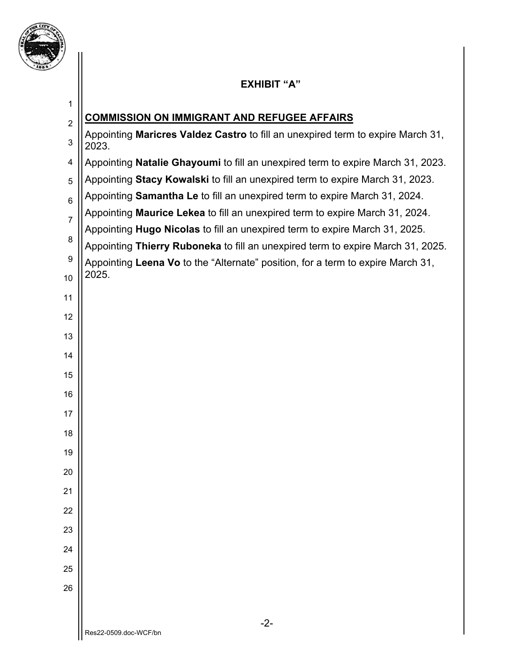

# **EXHIBIT "A"**

| 1              |                                                                                          |
|----------------|------------------------------------------------------------------------------------------|
| $\overline{2}$ | <b>COMMISSION ON IMMIGRANT AND REFUGEE AFFAIRS</b>                                       |
| 3              | Appointing Maricres Valdez Castro to fill an unexpired term to expire March 31,<br>2023. |
| 4              | Appointing Natalie Ghayoumi to fill an unexpired term to expire March 31, 2023.          |
| 5              | Appointing Stacy Kowalski to fill an unexpired term to expire March 31, 2023.            |
| 6              | Appointing Samantha Le to fill an unexpired term to expire March 31, 2024.               |
| $\overline{7}$ | Appointing Maurice Lekea to fill an unexpired term to expire March 31, 2024.             |
| 8              | Appointing Hugo Nicolas to fill an unexpired term to expire March 31, 2025.              |
| 9              | Appointing Thierry Ruboneka to fill an unexpired term to expire March 31, 2025.          |
| 10             | Appointing Leena Vo to the "Alternate" position, for a term to expire March 31,<br>2025. |
|                |                                                                                          |
| 11             |                                                                                          |
| 12             |                                                                                          |
| 13             |                                                                                          |
| 14             |                                                                                          |
| 15             |                                                                                          |
| 16             |                                                                                          |
| 17             |                                                                                          |
| 18             |                                                                                          |
| 19             |                                                                                          |
| 20             |                                                                                          |
| 21             |                                                                                          |
| 22             |                                                                                          |
| 23             |                                                                                          |
| 24             |                                                                                          |
|                |                                                                                          |
| 25             |                                                                                          |
| 26             |                                                                                          |
|                | $-2-$                                                                                    |
|                | Res22-0509.doc-WCF/bn                                                                    |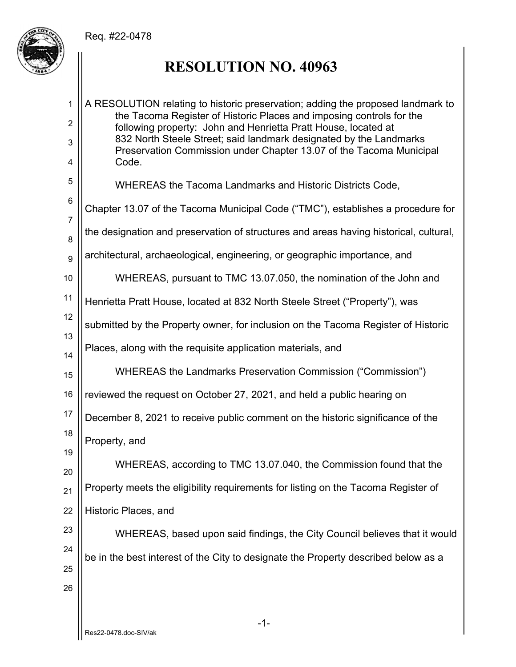

# **RESOLUTION NO. 40963**

-1- 1 2 3 4 5 6 7 8 9 10 11 12 13 14 15 16 17 18 19 20 21 22 23 24 25 26 A RESOLUTION relating to historic preservation; adding the proposed landmark to the Tacoma Register of Historic Places and imposing controls for the following property: John and Henrietta Pratt House, located at 832 North Steele Street; said landmark designated by the Landmarks Preservation Commission under Chapter 13.07 of the Tacoma Municipal Code. WHEREAS the Tacoma Landmarks and Historic Districts Code, Chapter 13.07 of the Tacoma Municipal Code ("TMC"), establishes a procedure for the designation and preservation of structures and areas having historical, cultural, architectural, archaeological, engineering, or geographic importance, and WHEREAS, pursuant to TMC 13.07.050, the nomination of the John and Henrietta Pratt House, located at 832 North Steele Street ("Property"), was submitted by the Property owner, for inclusion on the Tacoma Register of Historic Places, along with the requisite application materials, and WHEREAS the Landmarks Preservation Commission ("Commission") reviewed the request on October 27, 2021, and held a public hearing on December 8, 2021 to receive public comment on the historic significance of the Property, and WHEREAS, according to TMC 13.07.040, the Commission found that the Property meets the eligibility requirements for listing on the Tacoma Register of Historic Places, and WHEREAS, based upon said findings, the City Council believes that it would be in the best interest of the City to designate the Property described below as a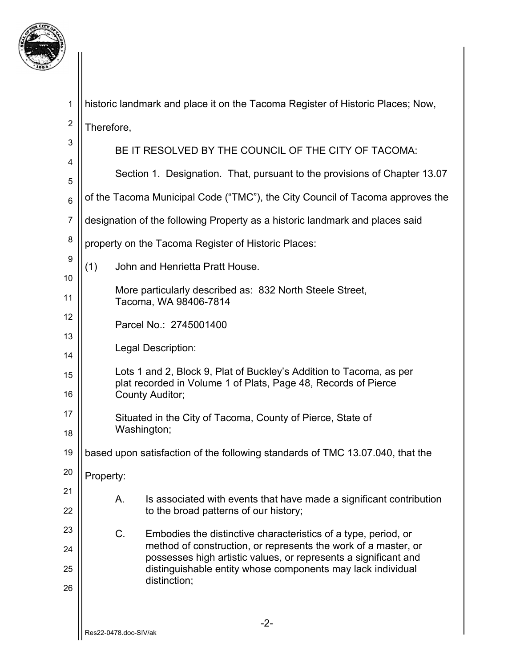

1 historic landmark and place it on the Tacoma Register of Historic Places; Now,

2 Therefore,

3

4 5 6 7 8 9 10 11 12 13 14 15 16 17 18 19 20 21 22 23 24 25 26 BE IT RESOLVED BY THE COUNCIL OF THE CITY OF TACOMA: Section 1. Designation. That, pursuant to the provisions of Chapter 13.07 of the Tacoma Municipal Code ("TMC"), the City Council of Tacoma approves the designation of the following Property as a historic landmark and places said property on the Tacoma Register of Historic Places: (1) John and Henrietta Pratt House. More particularly described as: 832 North Steele Street, Tacoma, WA 98406-7814 Parcel No.: 2745001400 Legal Description: Lots 1 and 2, Block 9, Plat of Buckley's Addition to Tacoma, as per plat recorded in Volume 1 of Plats, Page 48, Records of Pierce County Auditor; Situated in the City of Tacoma, County of Pierce, State of Washington; based upon satisfaction of the following standards of TMC 13.07.040, that the Property: A. Is associated with events that have made a significant contribution to the broad patterns of our history; C. Embodies the distinctive characteristics of a type, period, or method of construction, or represents the work of a master, or possesses high artistic values, or represents a significant and distinguishable entity whose components may lack individual distinction;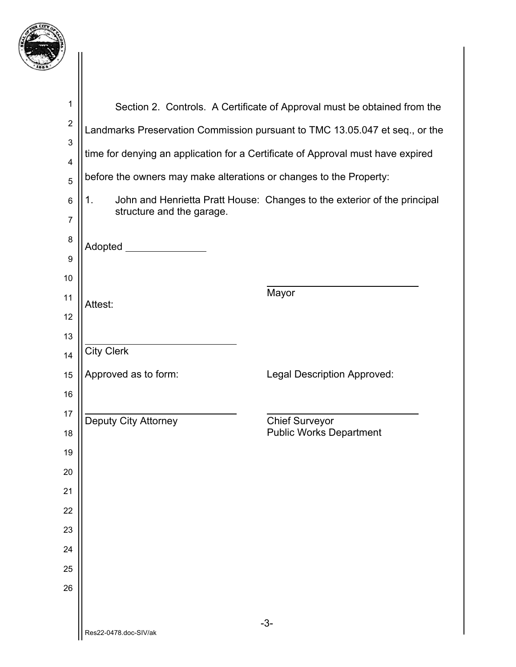

| 1                            |                                                                    | Section 2. Controls. A Certificate of Approval must be obtained from the        |
|------------------------------|--------------------------------------------------------------------|---------------------------------------------------------------------------------|
| $\overline{c}$               |                                                                    | Landmarks Preservation Commission pursuant to TMC 13.05.047 et seq., or the     |
| 3                            |                                                                    | time for denying an application for a Certificate of Approval must have expired |
| $\overline{\mathbf{4}}$<br>5 | before the owners may make alterations or changes to the Property: |                                                                                 |
| 6                            | 1 <sub>1</sub><br>structure and the garage.                        | John and Henrietta Pratt House: Changes to the exterior of the principal        |
| $\overline{7}$               |                                                                    |                                                                                 |
| 8                            | Adopted _______                                                    |                                                                                 |
| 9<br>10                      |                                                                    |                                                                                 |
| 11                           |                                                                    | Mayor                                                                           |
| 12                           | Attest:                                                            |                                                                                 |
| 13                           |                                                                    |                                                                                 |
| 14                           | <b>City Clerk</b>                                                  |                                                                                 |
| 15                           | Approved as to form:                                               | Legal Description Approved:                                                     |
| 16                           |                                                                    |                                                                                 |
| 17                           | Deputy City Attorney                                               | <b>Chief Surveyor</b>                                                           |
| 18                           |                                                                    | <b>Public Works Department</b>                                                  |
| 19<br>20                     |                                                                    |                                                                                 |
| 21                           |                                                                    |                                                                                 |
| 22                           |                                                                    |                                                                                 |
| 23                           |                                                                    |                                                                                 |
| 24                           |                                                                    |                                                                                 |
| 25                           |                                                                    |                                                                                 |
| 26                           |                                                                    |                                                                                 |
|                              |                                                                    |                                                                                 |
|                              | Res22-0478.doc-SIV/ak                                              | $-3-$                                                                           |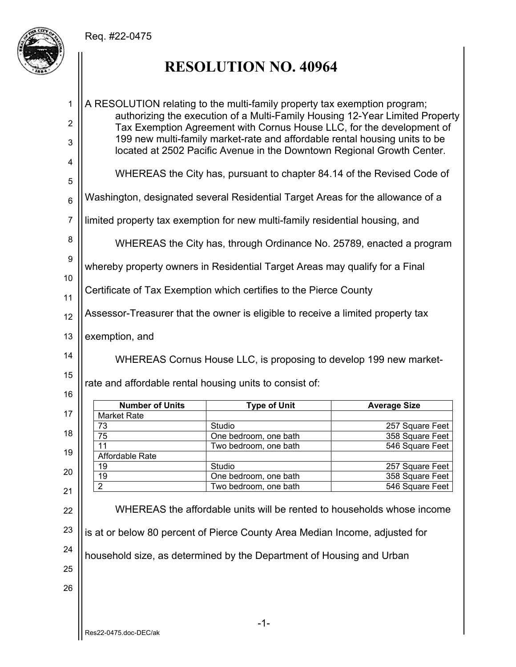

# **RESOLUTION NO. 40964**

| $\mathbf{1}$           | A RESOLUTION relating to the multi-family property tax exemption program;                                                                             |                                                                                                 |                     |
|------------------------|-------------------------------------------------------------------------------------------------------------------------------------------------------|-------------------------------------------------------------------------------------------------|---------------------|
| $\overline{c}$         | authorizing the execution of a Multi-Family Housing 12-Year Limited Property<br>Tax Exemption Agreement with Cornus House LLC, for the development of |                                                                                                 |                     |
| 3                      | 199 new multi-family market-rate and affordable rental housing units to be<br>located at 2502 Pacific Avenue in the Downtown Regional Growth Center.  |                                                                                                 |                     |
| 4                      |                                                                                                                                                       |                                                                                                 |                     |
| 5                      |                                                                                                                                                       | WHEREAS the City has, pursuant to chapter 84.14 of the Revised Code of                          |                     |
| $\,6$                  |                                                                                                                                                       | Washington, designated several Residential Target Areas for the allowance of a                  |                     |
| $\overline{7}$         |                                                                                                                                                       | limited property tax exemption for new multi-family residential housing, and                    |                     |
| 8                      |                                                                                                                                                       | WHEREAS the City has, through Ordinance No. 25789, enacted a program                            |                     |
| $\boldsymbol{9}$<br>10 |                                                                                                                                                       | whereby property owners in Residential Target Areas may qualify for a Final                     |                     |
| 11                     |                                                                                                                                                       | Certificate of Tax Exemption which certifies to the Pierce County                               |                     |
| 12                     |                                                                                                                                                       | Assessor-Treasurer that the owner is eligible to receive a limited property tax                 |                     |
| 13                     | exemption, and                                                                                                                                        |                                                                                                 |                     |
| 14                     | WHEREAS Cornus House LLC, is proposing to develop 199 new market-                                                                                     |                                                                                                 |                     |
|                        |                                                                                                                                                       |                                                                                                 |                     |
| 15                     |                                                                                                                                                       | rate and affordable rental housing units to consist of:                                         |                     |
| 16                     |                                                                                                                                                       |                                                                                                 |                     |
|                        | <b>Number of Units</b>                                                                                                                                | <b>Type of Unit</b>                                                                             | <b>Average Size</b> |
| 17                     | <b>Market Rate</b>                                                                                                                                    |                                                                                                 |                     |
| 18                     | 73                                                                                                                                                    | Studio                                                                                          | 257 Square Feet     |
|                        | $\overline{75}$                                                                                                                                       | One bedroom, one bath                                                                           | 358 Square Feet     |
| 19                     | $\overline{11}$                                                                                                                                       | Two bedroom, one bath                                                                           | 546 Square Feet     |
|                        | Affordable Rate                                                                                                                                       |                                                                                                 |                     |
| 20                     | 19                                                                                                                                                    | Studio                                                                                          | 257 Square Feet     |
|                        | <u>19</u>                                                                                                                                             | One bedroom, one bath                                                                           | 358 Square Feet     |
| 21<br>22               | $\overline{2}$                                                                                                                                        | Two bedroom, one bath<br>WHEREAS the affordable units will be rented to households whose income | 546 Square Feet     |
| 23                     |                                                                                                                                                       | is at or below 80 percent of Pierce County Area Median Income, adjusted for                     |                     |
| 24                     |                                                                                                                                                       | household size, as determined by the Department of Housing and Urban                            |                     |
| 25                     |                                                                                                                                                       |                                                                                                 |                     |
| 26                     |                                                                                                                                                       |                                                                                                 |                     |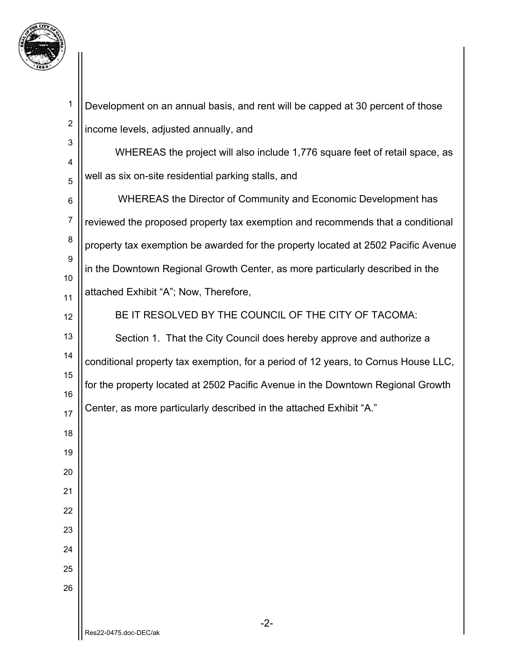

| $\mathbf{1}$            | Development on an annual basis, and rent will be capped at 30 percent of those     |
|-------------------------|------------------------------------------------------------------------------------|
| $\overline{\mathbf{c}}$ | income levels, adjusted annually, and                                              |
| 3<br>4                  | WHEREAS the project will also include 1,776 square feet of retail space, as        |
| 5                       | well as six on-site residential parking stalls, and                                |
| 6                       | WHEREAS the Director of Community and Economic Development has                     |
| $\overline{7}$          | reviewed the proposed property tax exemption and recommends that a conditional     |
| 8                       | property tax exemption be awarded for the property located at 2502 Pacific Avenue  |
| 9<br>10                 | in the Downtown Regional Growth Center, as more particularly described in the      |
| 11                      | attached Exhibit "A"; Now, Therefore,                                              |
| 12                      | BE IT RESOLVED BY THE COUNCIL OF THE CITY OF TACOMA:                               |
| 13                      | Section 1. That the City Council does hereby approve and authorize a               |
| 14                      | conditional property tax exemption, for a period of 12 years, to Cornus House LLC, |
| 15<br>16                | for the property located at 2502 Pacific Avenue in the Downtown Regional Growth    |
| 17                      | Center, as more particularly described in the attached Exhibit "A."                |
| 18                      |                                                                                    |
| 19                      |                                                                                    |
| 20                      |                                                                                    |
| 21                      |                                                                                    |
| 22                      |                                                                                    |
| 23                      |                                                                                    |
| 24                      |                                                                                    |
| 25                      |                                                                                    |
| 26                      |                                                                                    |
|                         | $-2-$<br>Res22-0475 doc-DEC/ak                                                     |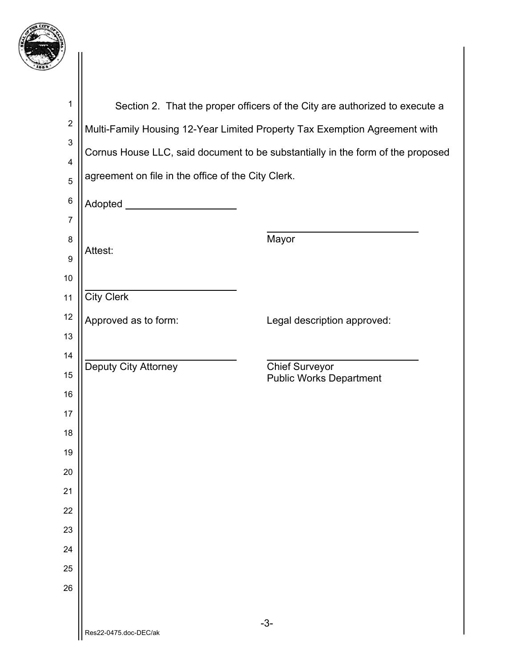

| $\mathbf 1$             |                                                                                 | Section 2. That the proper officers of the City are authorized to execute a |  |
|-------------------------|---------------------------------------------------------------------------------|-----------------------------------------------------------------------------|--|
| $\boldsymbol{2}$        | Multi-Family Housing 12-Year Limited Property Tax Exemption Agreement with      |                                                                             |  |
| 3                       | Cornus House LLC, said document to be substantially in the form of the proposed |                                                                             |  |
| 4                       | agreement on file in the office of the City Clerk.                              |                                                                             |  |
| 5                       |                                                                                 |                                                                             |  |
| $\,6$<br>$\overline{7}$ | Adopted _______________________                                                 |                                                                             |  |
| 8                       |                                                                                 | Mayor                                                                       |  |
| 9                       | Attest:                                                                         |                                                                             |  |
| 10                      |                                                                                 |                                                                             |  |
| 11                      | <b>City Clerk</b>                                                               |                                                                             |  |
| 12                      | Approved as to form:                                                            | Legal description approved:                                                 |  |
| 13                      |                                                                                 |                                                                             |  |
| 14                      | Deputy City Attorney                                                            | <b>Chief Surveyor</b>                                                       |  |
| 15                      |                                                                                 | <b>Public Works Department</b>                                              |  |
| 16                      |                                                                                 |                                                                             |  |
| 17                      |                                                                                 |                                                                             |  |
| 18                      |                                                                                 |                                                                             |  |
| 19<br>20                |                                                                                 |                                                                             |  |
| 21                      |                                                                                 |                                                                             |  |
| 22                      |                                                                                 |                                                                             |  |
| 23                      |                                                                                 |                                                                             |  |
| 24                      |                                                                                 |                                                                             |  |
| 25                      |                                                                                 |                                                                             |  |
| 26                      |                                                                                 |                                                                             |  |
|                         |                                                                                 |                                                                             |  |
|                         | Res22-0475.doc-DEC/ak                                                           | $-3-$                                                                       |  |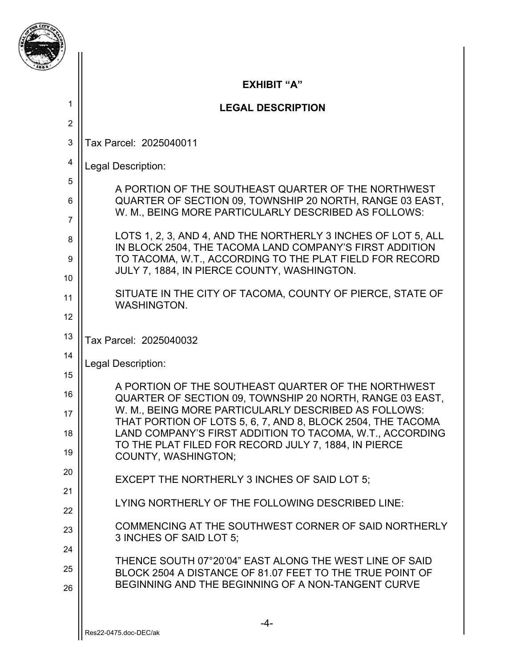|                | <b>EXHIBIT "A"</b>                                                                                                                                                      |
|----------------|-------------------------------------------------------------------------------------------------------------------------------------------------------------------------|
| 1              | <b>LEGAL DESCRIPTION</b>                                                                                                                                                |
| $\overline{2}$ |                                                                                                                                                                         |
| 3              | Tax Parcel: 2025040011                                                                                                                                                  |
| 4              | Legal Description:                                                                                                                                                      |
| 5              | A PORTION OF THE SOUTHEAST QUARTER OF THE NORTHWEST                                                                                                                     |
| 6              | QUARTER OF SECTION 09, TOWNSHIP 20 NORTH, RANGE 03 EAST,<br>W. M., BEING MORE PARTICULARLY DESCRIBED AS FOLLOWS:                                                        |
| $\overline{7}$ | LOTS 1, 2, 3, AND 4, AND THE NORTHERLY 3 INCHES OF LOT 5, ALL                                                                                                           |
| 8              | IN BLOCK 2504, THE TACOMA LAND COMPANY'S FIRST ADDITION                                                                                                                 |
| 9<br>10        | TO TACOMA, W.T., ACCORDING TO THE PLAT FIELD FOR RECORD<br>JULY 7, 1884, IN PIERCE COUNTY, WASHINGTON.                                                                  |
| 11             | SITUATE IN THE CITY OF TACOMA, COUNTY OF PIERCE, STATE OF                                                                                                               |
| 12             | <b>WASHINGTON.</b>                                                                                                                                                      |
| 13             | Tax Parcel: 2025040032                                                                                                                                                  |
| 14             |                                                                                                                                                                         |
| 15             | Legal Description:                                                                                                                                                      |
| 16             | A PORTION OF THE SOUTHEAST QUARTER OF THE NORTHWEST<br>QUARTER OF SECTION 09, TOWNSHIP 20 NORTH, RANGE 03 EAST,<br>W. M., BEING MORE PARTICULARLY DESCRIBED AS FOLLOWS: |
| 17<br>18       | THAT PORTION OF LOTS 5, 6, 7, AND 8, BLOCK 2504, THE TACOMA<br>LAND COMPANY'S FIRST ADDITION TO TACOMA, W.T., ACCORDING                                                 |
| 19             | TO THE PLAT FILED FOR RECORD JULY 7, 1884, IN PIERCE<br><b>COUNTY, WASHINGTON:</b>                                                                                      |
| 20             | EXCEPT THE NORTHERLY 3 INCHES OF SAID LOT 5;                                                                                                                            |
| 21             | LYING NORTHERLY OF THE FOLLOWING DESCRIBED LINE:                                                                                                                        |
| 22             |                                                                                                                                                                         |
| 23             | COMMENCING AT THE SOUTHWEST CORNER OF SAID NORTHERLY<br>3 INCHES OF SAID LOT 5;                                                                                         |
| 24             | THENCE SOUTH 07°20'04" EAST ALONG THE WEST LINE OF SAID                                                                                                                 |
| 25<br>26       | BLOCK 2504 A DISTANCE OF 81.07 FEET TO THE TRUE POINT OF<br>BEGINNING AND THE BEGINNING OF A NON-TANGENT CURVE                                                          |
|                |                                                                                                                                                                         |
|                | $-4-$<br>Res22-0475 doc-DEC/ak                                                                                                                                          |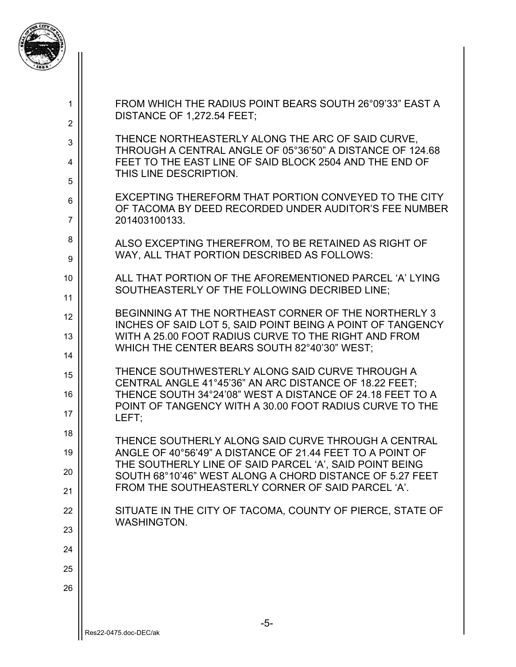

| 1<br>$\overline{2}$ | FROM WHICH THE RADIUS POINT BEARS SOUTH 26°09'33" EAST A<br>DISTANCE OF 1,272.54 FEET:                               |
|---------------------|----------------------------------------------------------------------------------------------------------------------|
| 3                   | THENCE NORTHEASTERLY ALONG THE ARC OF SAID CURVE,<br>THROUGH A CENTRAL ANGLE OF 05°36'50" A DISTANCE OF 124.68       |
| 4                   | FEET TO THE EAST LINE OF SAID BLOCK 2504 AND THE END OF<br>THIS LINE DESCRIPTION.                                    |
| 5                   | EXCEPTING THEREFORM THAT PORTION CONVEYED TO THE CITY                                                                |
| 6<br>$\overline{7}$ | OF TACOMA BY DEED RECORDED UNDER AUDITOR'S FEE NUMBER<br>201403100133.                                               |
| 8<br>9              | ALSO EXCEPTING THEREFROM, TO BE RETAINED AS RIGHT OF<br>WAY, ALL THAT PORTION DESCRIBED AS FOLLOWS:                  |
| 10                  | ALL THAT PORTION OF THE AFOREMENTIONED PARCEL 'A' LYING<br>SOUTHEASTERLY OF THE FOLLOWING DECRIBED LINE;             |
| 11                  |                                                                                                                      |
| 12                  | BEGINNING AT THE NORTHEAST CORNER OF THE NORTHERLY 3<br>INCHES OF SAID LOT 5, SAID POINT BEING A POINT OF TANGENCY   |
| 13                  | WITH A 25.00 FOOT RADIUS CURVE TO THE RIGHT AND FROM<br>WHICH THE CENTER BEARS SOUTH 82°40'30" WEST;                 |
| 14<br>15            | THENCE SOUTHWESTERLY ALONG SAID CURVE THROUGH A                                                                      |
| 16                  | CENTRAL ANGLE 41°45'36" AN ARC DISTANCE OF 18.22 FEET;<br>THENCE SOUTH 34°24'08" WEST A DISTANCE OF 24.18 FEET TO A  |
| 17                  | POINT OF TANGENCY WITH A 30.00 FOOT RADIUS CURVE TO THE<br>LEFT:                                                     |
| 18                  | THENCE SOUTHERLY ALONG SAID CURVE THROUGH A CENTRAL                                                                  |
| 19                  | ANGLE OF 40°56'49" A DISTANCE OF 21.44 FEET TO A POINT OF<br>THE SOUTHERLY LINE OF SAID PARCEL 'A', SAID POINT BEING |
| 20                  | SOUTH 68°10'46" WEST ALONG A CHORD DISTANCE OF 5.27 FEET<br>FROM THE SOUTHEASTERLY CORNER OF SAID PARCEL 'A'.        |
| 21                  |                                                                                                                      |
| 22                  | SITUATE IN THE CITY OF TACOMA, COUNTY OF PIERCE, STATE OF<br><b>WASHINGTON.</b>                                      |
| 23                  |                                                                                                                      |
| 24<br>25            |                                                                                                                      |
| 26                  |                                                                                                                      |
|                     |                                                                                                                      |
|                     | $-5-$                                                                                                                |
|                     | Res22-0475.doc-DEC/ak                                                                                                |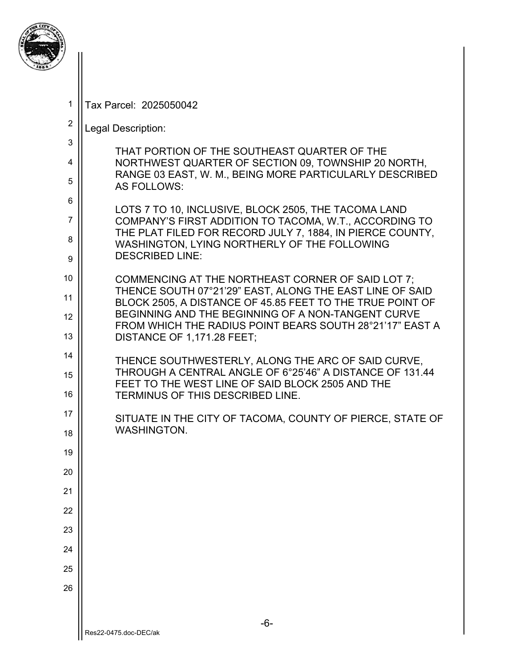

4

5

6

7

8

9

17

18

19

20

21

22

23

24

25

1 Tax Parcel: 2025050042

#### 2 Legal Description:

THAT PORTION OF THE SOUTHEAST QUARTER OF THE NORTHWEST QUARTER OF SECTION 09, TOWNSHIP 20 NORTH, RANGE 03 EAST, W. M., BEING MORE PARTICULARLY DESCRIBED AS FOLLOWS:

LOTS 7 TO 10, INCLUSIVE, BLOCK 2505, THE TACOMA LAND COMPANY'S FIRST ADDITION TO TACOMA, W.T., ACCORDING TO THE PLAT FILED FOR RECORD JULY 7, 1884, IN PIERCE COUNTY, WASHINGTON, LYING NORTHERLY OF THE FOLLOWING DESCRIBED LINE:

10 11 12 13 COMMENCING AT THE NORTHEAST CORNER OF SAID LOT 7; THENCE SOUTH 07°21'29" EAST, ALONG THE EAST LINE OF SAID BLOCK 2505, A DISTANCE OF 45.85 FEET TO THE TRUE POINT OF BEGINNING AND THE BEGINNING OF A NON-TANGENT CURVE FROM WHICH THE RADIUS POINT BEARS SOUTH 28°21'17" EAST A DISTANCE OF 1,171.28 FEET;

14 15 16 THENCE SOUTHWESTERLY, ALONG THE ARC OF SAID CURVE, THROUGH A CENTRAL ANGLE OF 6°25'46" A DISTANCE OF 131.44 FEET TO THE WEST LINE OF SAID BLOCK 2505 AND THE TERMINUS OF THIS DESCRIBED LINE.

SITUATE IN THE CITY OF TACOMA, COUNTY OF PIERCE, STATE OF WASHINGTON.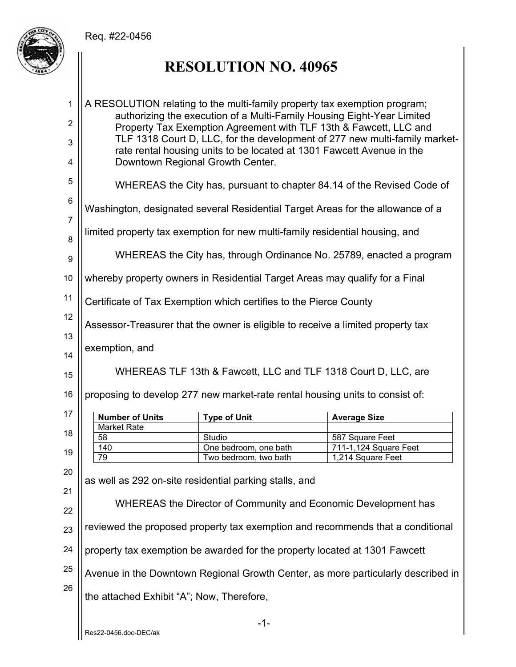

# **RESOLUTION NO. 40965**

| 1<br>2<br>3         | A RESOLUTION relating to the multi-family property tax exemption program;<br>authorizing the execution of a Multi-Family Housing Eight-Year Limited<br>Property Tax Exemption Agreement with TLF 13th & Fawcett, LLC and<br>TLF 1318 Court D, LLC, for the development of 277 new multi-family market- |                                                                              |                                                                                  |
|---------------------|--------------------------------------------------------------------------------------------------------------------------------------------------------------------------------------------------------------------------------------------------------------------------------------------------------|------------------------------------------------------------------------------|----------------------------------------------------------------------------------|
| 4                   | rate rental housing units to be located at 1301 Fawcett Avenue in the<br>Downtown Regional Growth Center.                                                                                                                                                                                              |                                                                              |                                                                                  |
| 5                   | WHEREAS the City has, pursuant to chapter 84.14 of the Revised Code of                                                                                                                                                                                                                                 |                                                                              |                                                                                  |
| $\,6$               | Washington, designated several Residential Target Areas for the allowance of a                                                                                                                                                                                                                         |                                                                              |                                                                                  |
| $\overline{7}$<br>8 |                                                                                                                                                                                                                                                                                                        | limited property tax exemption for new multi-family residential housing, and |                                                                                  |
| 9                   |                                                                                                                                                                                                                                                                                                        | WHEREAS the City has, through Ordinance No. 25789, enacted a program         |                                                                                  |
| 10                  |                                                                                                                                                                                                                                                                                                        | whereby property owners in Residential Target Areas may qualify for a Final  |                                                                                  |
| 11                  | Certificate of Tax Exemption which certifies to the Pierce County                                                                                                                                                                                                                                      |                                                                              |                                                                                  |
| 12                  | Assessor-Treasurer that the owner is eligible to receive a limited property tax                                                                                                                                                                                                                        |                                                                              |                                                                                  |
| 13<br>14            | exemption, and                                                                                                                                                                                                                                                                                         |                                                                              |                                                                                  |
| 15                  | WHEREAS TLF 13th & Fawcett, LLC and TLF 1318 Court D, LLC, are                                                                                                                                                                                                                                         |                                                                              |                                                                                  |
| 16                  | proposing to develop 277 new market-rate rental housing units to consist of:                                                                                                                                                                                                                           |                                                                              |                                                                                  |
| 17                  | <b>Number of Units</b>                                                                                                                                                                                                                                                                                 | <b>Type of Unit</b>                                                          | <b>Average Size</b>                                                              |
| 18                  | <b>Market Rate</b><br>58                                                                                                                                                                                                                                                                               | Studio                                                                       | 587 Square Feet                                                                  |
|                     | 140                                                                                                                                                                                                                                                                                                    | One bedroom, one bath                                                        | 711-1,124 Square Feet                                                            |
| 19                  | 79                                                                                                                                                                                                                                                                                                     | Two bedroom, two bath                                                        | 1,214 Square Feet                                                                |
| 20                  |                                                                                                                                                                                                                                                                                                        | as well as 292 on-site residential parking stalls, and                       |                                                                                  |
| 21                  |                                                                                                                                                                                                                                                                                                        |                                                                              |                                                                                  |
| 22                  | WHEREAS the Director of Community and Economic Development has                                                                                                                                                                                                                                         |                                                                              |                                                                                  |
| 23                  | reviewed the proposed property tax exemption and recommends that a conditional                                                                                                                                                                                                                         |                                                                              |                                                                                  |
| 24                  | property tax exemption be awarded for the property located at 1301 Fawcett                                                                                                                                                                                                                             |                                                                              |                                                                                  |
| 25                  |                                                                                                                                                                                                                                                                                                        |                                                                              | Avenue in the Downtown Regional Growth Center, as more particularly described in |
| 26                  | the attached Exhibit "A"; Now, Therefore,                                                                                                                                                                                                                                                              |                                                                              |                                                                                  |
|                     | Res22-0456.doc-DEC/ak                                                                                                                                                                                                                                                                                  | $-1-$                                                                        |                                                                                  |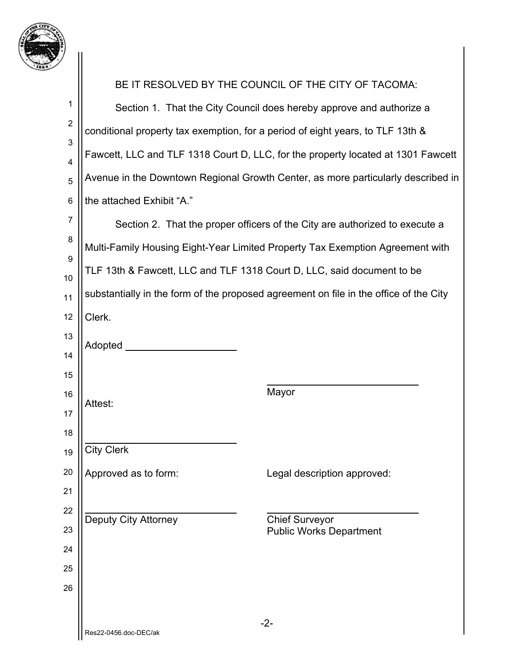

| 7                 |                                                                                |                                                                                       |  |
|-------------------|--------------------------------------------------------------------------------|---------------------------------------------------------------------------------------|--|
|                   | BE IT RESOLVED BY THE COUNCIL OF THE CITY OF TACOMA:                           |                                                                                       |  |
| 1                 | Section 1. That the City Council does hereby approve and authorize a           |                                                                                       |  |
| $\overline{2}$    | conditional property tax exemption, for a period of eight years, to TLF 13th & |                                                                                       |  |
| $\mathbf{3}$<br>4 |                                                                                | Fawcett, LLC and TLF 1318 Court D, LLC, for the property located at 1301 Fawcett      |  |
| 5                 |                                                                                | Avenue in the Downtown Regional Growth Center, as more particularly described in      |  |
| $\,6$             | the attached Exhibit "A."                                                      |                                                                                       |  |
| $\boldsymbol{7}$  |                                                                                | Section 2. That the proper officers of the City are authorized to execute a           |  |
| 8                 |                                                                                | Multi-Family Housing Eight-Year Limited Property Tax Exemption Agreement with         |  |
| 9                 |                                                                                | TLF 13th & Fawcett, LLC and TLF 1318 Court D, LLC, said document to be                |  |
| 10<br>11          |                                                                                | substantially in the form of the proposed agreement on file in the office of the City |  |
| 12                | Clerk.                                                                         |                                                                                       |  |
| 13                |                                                                                |                                                                                       |  |
| 14                | Adopted                                                                        |                                                                                       |  |
| 15                |                                                                                |                                                                                       |  |
| 16                | Attest:                                                                        | Mayor                                                                                 |  |
| 17                |                                                                                |                                                                                       |  |
| 18                | <b>City Clerk</b>                                                              |                                                                                       |  |
| 19<br>20          |                                                                                |                                                                                       |  |
| 21                | Approved as to form:                                                           | Legal description approved:                                                           |  |
| 22                |                                                                                |                                                                                       |  |
| 23                | <b>Deputy City Attorney</b>                                                    | <b>Chief Surveyor</b><br><b>Public Works Department</b>                               |  |
| 24                |                                                                                |                                                                                       |  |
| 25                |                                                                                |                                                                                       |  |
| 26                |                                                                                |                                                                                       |  |
|                   |                                                                                |                                                                                       |  |
|                   | Res22-0456.doc-DEC/ak                                                          | $-2-$                                                                                 |  |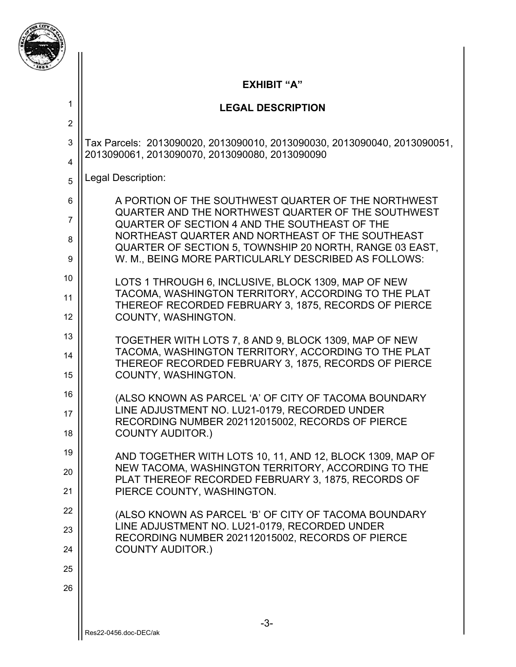

2

### **EXHIBIT "A"**

### **LEGAL DESCRIPTION**

3 4 Tax Parcels: 2013090020, 2013090010, 2013090030, 2013090040, 2013090051, 2013090061, 2013090070, 2013090080, 2013090090

5 Legal Description:

| 6  | A PORTION OF THE SOUTHWEST QUARTER OF THE NORTHWEST                                                         |
|----|-------------------------------------------------------------------------------------------------------------|
| 7  | QUARTER AND THE NORTHWEST QUARTER OF THE SOUTHWEST<br>QUARTER OF SECTION 4 AND THE SOUTHEAST OF THE         |
| 8  | NORTHEAST QUARTER AND NORTHEAST OF THE SOUTHEAST<br>QUARTER OF SECTION 5, TOWNSHIP 20 NORTH, RANGE 03 EAST, |
| 9  | W. M., BEING MORE PARTICULARLY DESCRIBED AS FOLLOWS:                                                        |
| 10 | LOTS 1 THROUGH 6, INCLUSIVE, BLOCK 1309, MAP OF NEW                                                         |
| 11 | TACOMA, WASHINGTON TERRITORY, ACCORDING TO THE PLAT<br>THEREOF RECORDED FEBRUARY 3, 1875, RECORDS OF PIERCE |
| 12 | COUNTY, WASHINGTON.                                                                                         |
| 13 | TOGETHER WITH LOTS 7, 8 AND 9, BLOCK 1309, MAP OF NEW                                                       |
| 14 | TACOMA, WASHINGTON TERRITORY, ACCORDING TO THE PLAT<br>THEREOF RECORDED FEBRUARY 3, 1875, RECORDS OF PIERCE |
| 15 | COUNTY, WASHINGTON.                                                                                         |
| 16 | (ALSO KNOWN AS PARCEL 'A' OF CITY OF TACOMA BOUNDARY                                                        |
| 17 | LINE ADJUSTMENT NO. LU21-0179, RECORDED UNDER<br>RECORDING NUMBER 202112015002, RECORDS OF PIERCE           |
| 18 | <b>COUNTY AUDITOR.)</b>                                                                                     |
| 19 | AND TOGETHER WITH LOTS 10, 11, AND 12, BLOCK 1309, MAP OF                                                   |
| 20 | NEW TACOMA, WASHINGTON TERRITORY, ACCORDING TO THE<br>PLAT THEREOF RECORDED FEBRUARY 3, 1875, RECORDS OF    |
| 21 | PIERCE COUNTY, WASHINGTON.                                                                                  |
| 22 | (ALSO KNOWN AS PARCEL 'B' OF CITY OF TACOMA BOUNDARY                                                        |
| 23 | LINE ADJUSTMENT NO. LU21-0179, RECORDED UNDER<br>RECORDING NUMBER 202112015002, RECORDS OF PIERCE           |
| 24 | <b>COUNTY AUDITOR.)</b>                                                                                     |
| 25 |                                                                                                             |
| 26 |                                                                                                             |
|    | -3-                                                                                                         |
|    |                                                                                                             |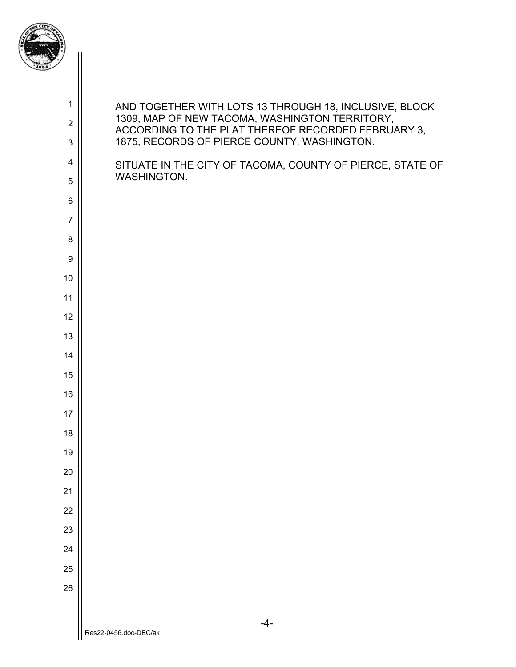

| $\mathbf{1}$        | AND TOGETHER WITH LOTS 13 THROUGH 18, INCLUSIVE, BLOCK<br>1309, MAP OF NEW TACOMA, WASHINGTON TERRITORY, |
|---------------------|----------------------------------------------------------------------------------------------------------|
| $\overline{2}$<br>3 | ACCORDING TO THE PLAT THEREOF RECORDED FEBRUARY 3,<br>1875, RECORDS OF PIERCE COUNTY, WASHINGTON.        |
| $\overline{4}$      |                                                                                                          |
| 5                   | SITUATE IN THE CITY OF TACOMA, COUNTY OF PIERCE, STATE OF<br>WASHINGTON.                                 |
| $6\phantom{1}6$     |                                                                                                          |
| $\overline{7}$      |                                                                                                          |
| 8                   |                                                                                                          |
| $\boldsymbol{9}$    |                                                                                                          |
| 10                  |                                                                                                          |
| 11                  |                                                                                                          |
| 12                  |                                                                                                          |
| 13                  |                                                                                                          |
| 14<br>15            |                                                                                                          |
| 16                  |                                                                                                          |
| 17                  |                                                                                                          |
| 18                  |                                                                                                          |
| 19                  |                                                                                                          |
| 20                  |                                                                                                          |
| 21                  |                                                                                                          |
| 22                  |                                                                                                          |
| 23                  |                                                                                                          |
| 24                  |                                                                                                          |
| 25                  |                                                                                                          |
| 26                  |                                                                                                          |
|                     | $-4-$                                                                                                    |
|                     | Res22-0456.doc-DEC/ak                                                                                    |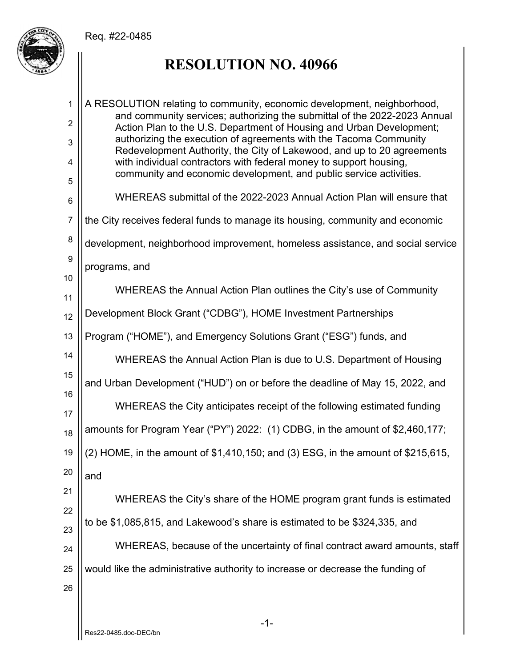

# **RESOLUTION NO. 40966**

-1- 1 2 3 4 5 6 7 8 9 10 11 12 13 14 15 16 17 18 19 20 21 22 23 24 25 26 A RESOLUTION relating to community, economic development, neighborhood, and community services; authorizing the submittal of the 2022-2023 Annual Action Plan to the U.S. Department of Housing and Urban Development; authorizing the execution of agreements with the Tacoma Community Redevelopment Authority, the City of Lakewood, and up to 20 agreements with individual contractors with federal money to support housing, community and economic development, and public service activities. WHEREAS submittal of the 2022-2023 Annual Action Plan will ensure that the City receives federal funds to manage its housing, community and economic development, neighborhood improvement, homeless assistance, and social service programs, and WHEREAS the Annual Action Plan outlines the City's use of Community Development Block Grant ("CDBG"), HOME Investment Partnerships Program ("HOME"), and Emergency Solutions Grant ("ESG") funds, and WHEREAS the Annual Action Plan is due to U.S. Department of Housing and Urban Development ("HUD") on or before the deadline of May 15, 2022, and WHEREAS the City anticipates receipt of the following estimated funding amounts for Program Year ("PY") 2022: (1) CDBG, in the amount of \$2,460,177; (2) HOME, in the amount of \$1,410,150; and (3) ESG, in the amount of \$215,615, and WHEREAS the City's share of the HOME program grant funds is estimated to be \$1,085,815, and Lakewood's share is estimated to be \$324,335, and WHEREAS, because of the uncertainty of final contract award amounts, staff would like the administrative authority to increase or decrease the funding of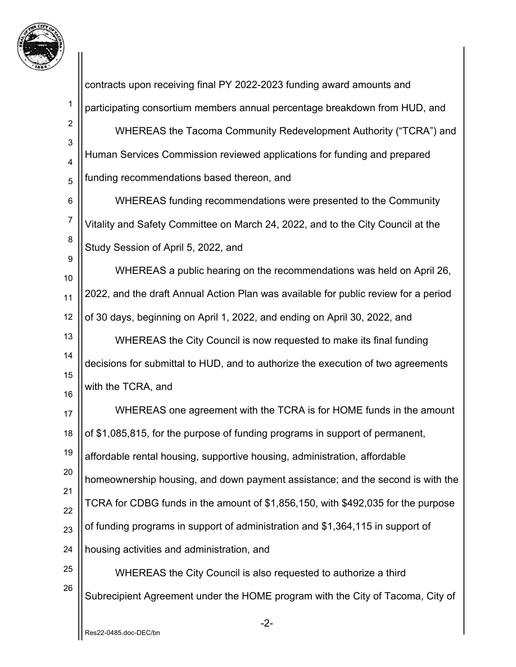

-2- 1 2 3 4 5 6 7 8 9 10 11 12 13 14 15 16 17 18 19 20 21 22 23 24 25 26 contracts upon receiving final PY 2022-2023 funding award amounts and participating consortium members annual percentage breakdown from HUD, and WHEREAS the Tacoma Community Redevelopment Authority ("TCRA") and Human Services Commission reviewed applications for funding and prepared funding recommendations based thereon, and WHEREAS funding recommendations were presented to the Community Vitality and Safety Committee on March 24, 2022, and to the City Council at the Study Session of April 5, 2022, and WHEREAS a public hearing on the recommendations was held on April 26, 2022, and the draft Annual Action Plan was available for public review for a period of 30 days, beginning on April 1, 2022, and ending on April 30, 2022, and WHEREAS the City Council is now requested to make its final funding decisions for submittal to HUD, and to authorize the execution of two agreements with the TCRA, and WHEREAS one agreement with the TCRA is for HOME funds in the amount of \$1,085,815, for the purpose of funding programs in support of permanent, affordable rental housing, supportive housing, administration, affordable homeownership housing, and down payment assistance; and the second is with the TCRA for CDBG funds in the amount of \$1,856,150, with \$492,035 for the purpose of funding programs in support of administration and \$1,364,115 in support of housing activities and administration, and WHEREAS the City Council is also requested to authorize a third Subrecipient Agreement under the HOME program with the City of Tacoma, City of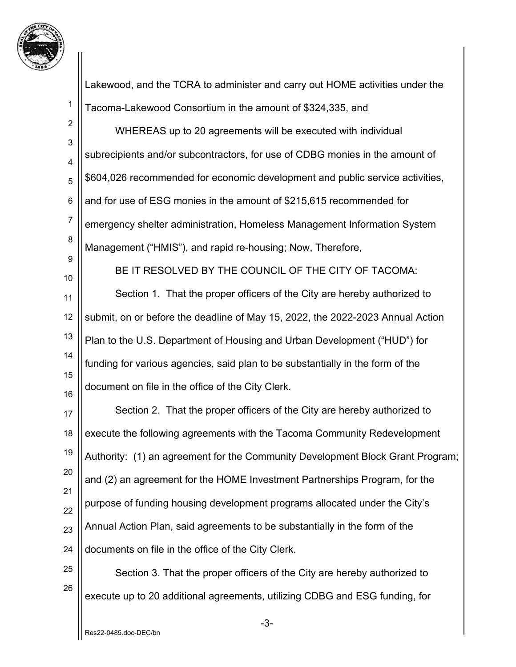

1 2 3 4 5 6 7 8 9 10 11 12 13 14 15 16 17 18 19 20 21 22 23 24 25 26 Lakewood, and the TCRA to administer and carry out HOME activities under the Tacoma-Lakewood Consortium in the amount of \$324,335, and WHEREAS up to 20 agreements will be executed with individual subrecipients and/or subcontractors, for use of CDBG monies in the amount of \$604,026 recommended for economic development and public service activities, and for use of ESG monies in the amount of \$215,615 recommended for emergency shelter administration, Homeless Management Information System Management ("HMIS"), and rapid re-housing; Now, Therefore, BE IT RESOLVED BY THE COUNCIL OF THE CITY OF TACOMA: Section 1. That the proper officers of the City are hereby authorized to submit, on or before the deadline of May 15, 2022, the 2022-2023 Annual Action Plan to the U.S. Department of Housing and Urban Development ("HUD") for funding for various agencies, said plan to be substantially in the form of the document on file in the office of the City Clerk. Section 2. That the proper officers of the City are hereby authorized to execute the following agreements with the Tacoma Community Redevelopment Authority: (1) an agreement for the Community Development Block Grant Program; and (2) an agreement for the HOME Investment Partnerships Program, for the purpose of funding housing development programs allocated under the City's Annual Action Plan, said agreements to be substantially in the form of the documents on file in the office of the City Clerk. Section 3. That the proper officers of the City are hereby authorized to execute up to 20 additional agreements, utilizing CDBG and ESG funding, for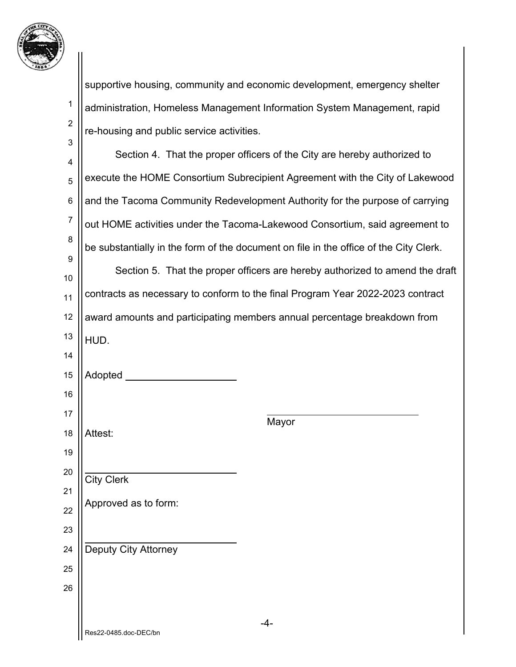

|                  | supportive housing, community and economic development, emergency shelter             |  |  |  |  |  |  |
|------------------|---------------------------------------------------------------------------------------|--|--|--|--|--|--|
| 1                | administration, Homeless Management Information System Management, rapid              |  |  |  |  |  |  |
| $\boldsymbol{2}$ | re-housing and public service activities.                                             |  |  |  |  |  |  |
| 3                | Section 4. That the proper officers of the City are hereby authorized to              |  |  |  |  |  |  |
| 4<br>5           | execute the HOME Consortium Subrecipient Agreement with the City of Lakewood          |  |  |  |  |  |  |
| $\,6$            | and the Tacoma Community Redevelopment Authority for the purpose of carrying          |  |  |  |  |  |  |
| $\overline{7}$   | out HOME activities under the Tacoma-Lakewood Consortium, said agreement to           |  |  |  |  |  |  |
| 8                | be substantially in the form of the document on file in the office of the City Clerk. |  |  |  |  |  |  |
| 9                |                                                                                       |  |  |  |  |  |  |
| 10               | Section 5. That the proper officers are hereby authorized to amend the draft          |  |  |  |  |  |  |
| 11               | contracts as necessary to conform to the final Program Year 2022-2023 contract        |  |  |  |  |  |  |
| 12               | award amounts and participating members annual percentage breakdown from              |  |  |  |  |  |  |
| 13               | HUD.                                                                                  |  |  |  |  |  |  |
| 14               |                                                                                       |  |  |  |  |  |  |
| 15               | Adopted                                                                               |  |  |  |  |  |  |
| 16               |                                                                                       |  |  |  |  |  |  |
| 17               | Mayor                                                                                 |  |  |  |  |  |  |
| 18               | Attest:                                                                               |  |  |  |  |  |  |
| 19<br>20         |                                                                                       |  |  |  |  |  |  |
| 21               | <b>City Clerk</b>                                                                     |  |  |  |  |  |  |
| 22               | Approved as to form:                                                                  |  |  |  |  |  |  |
| 23               |                                                                                       |  |  |  |  |  |  |
| 24               | Deputy City Attorney                                                                  |  |  |  |  |  |  |
| 25               |                                                                                       |  |  |  |  |  |  |
| 26               |                                                                                       |  |  |  |  |  |  |
|                  |                                                                                       |  |  |  |  |  |  |
|                  |                                                                                       |  |  |  |  |  |  |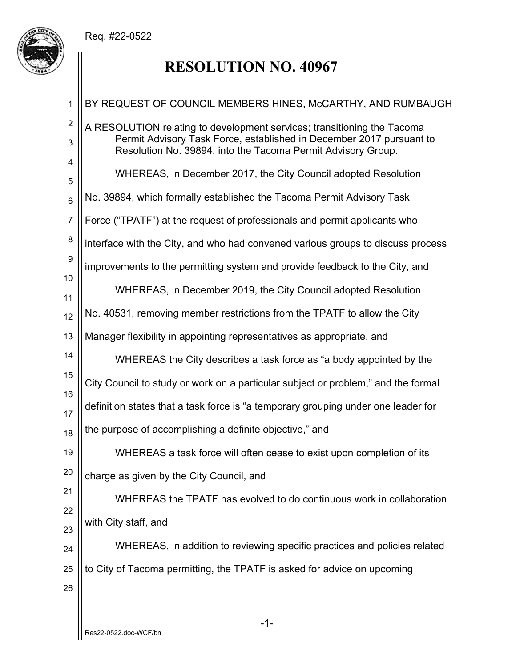

# **RESOLUTION NO. 40967**

| 1                     | BY REQUEST OF COUNCIL MEMBERS HINES, McCARTHY, AND RUMBAUGH                                                                                                                                                     |
|-----------------------|-----------------------------------------------------------------------------------------------------------------------------------------------------------------------------------------------------------------|
| $\boldsymbol{2}$<br>3 | A RESOLUTION relating to development services; transitioning the Tacoma<br>Permit Advisory Task Force, established in December 2017 pursuant to<br>Resolution No. 39894, into the Tacoma Permit Advisory Group. |
| 4<br>5                | WHEREAS, in December 2017, the City Council adopted Resolution                                                                                                                                                  |
| $6\phantom{1}6$       | No. 39894, which formally established the Tacoma Permit Advisory Task                                                                                                                                           |
| $\overline{7}$        | Force ("TPATF") at the request of professionals and permit applicants who                                                                                                                                       |
| 8                     | interface with the City, and who had convened various groups to discuss process                                                                                                                                 |
| $\boldsymbol{9}$      | improvements to the permitting system and provide feedback to the City, and                                                                                                                                     |
| 10<br>11              | WHEREAS, in December 2019, the City Council adopted Resolution                                                                                                                                                  |
| 12                    | No. 40531, removing member restrictions from the TPATF to allow the City                                                                                                                                        |
| 13                    | Manager flexibility in appointing representatives as appropriate, and                                                                                                                                           |
| 14                    | WHEREAS the City describes a task force as "a body appointed by the                                                                                                                                             |
| 15                    | City Council to study or work on a particular subject or problem," and the formal                                                                                                                               |
| 16<br>17              | definition states that a task force is "a temporary grouping under one leader for                                                                                                                               |
| 18                    | the purpose of accomplishing a definite objective," and                                                                                                                                                         |
| 19                    | WHEREAS a task force will often cease to exist upon completion of its                                                                                                                                           |
| 20                    | charge as given by the City Council, and                                                                                                                                                                        |
| 21                    | WHEREAS the TPATF has evolved to do continuous work in collaboration                                                                                                                                            |
| 22<br>23              | with City staff, and                                                                                                                                                                                            |
| 24                    | WHEREAS, in addition to reviewing specific practices and policies related                                                                                                                                       |
| 25                    | to City of Tacoma permitting, the TPATF is asked for advice on upcoming                                                                                                                                         |
| 26                    |                                                                                                                                                                                                                 |
|                       |                                                                                                                                                                                                                 |
|                       | $-1-$<br>Res22-0522.doc-WCF/bn                                                                                                                                                                                  |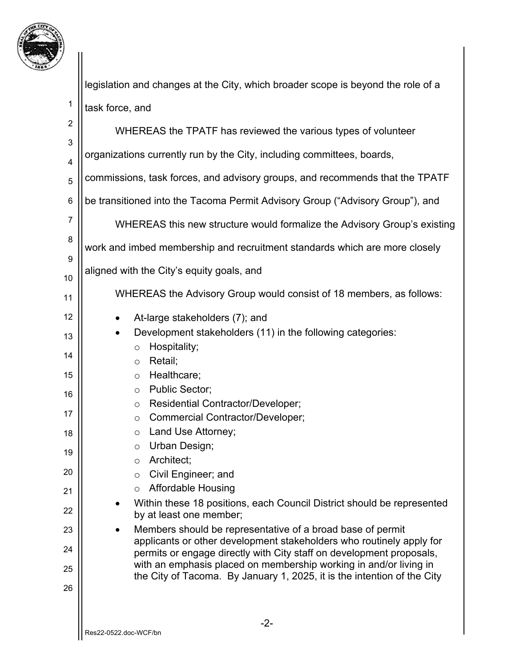

legislation and changes at the City, which broader scope is beyond the role of a task force, and

| $\overline{2}$ | WHEREAS the TPATF has reviewed the various types of volunteer                                                                             |  |  |  |  |  |  |  |  |
|----------------|-------------------------------------------------------------------------------------------------------------------------------------------|--|--|--|--|--|--|--|--|
| 3              |                                                                                                                                           |  |  |  |  |  |  |  |  |
| 4              | organizations currently run by the City, including committees, boards,                                                                    |  |  |  |  |  |  |  |  |
| 5              | commissions, task forces, and advisory groups, and recommends that the TPATF                                                              |  |  |  |  |  |  |  |  |
| 6              | be transitioned into the Tacoma Permit Advisory Group ("Advisory Group"), and                                                             |  |  |  |  |  |  |  |  |
| 7              | WHEREAS this new structure would formalize the Advisory Group's existing                                                                  |  |  |  |  |  |  |  |  |
| 8              | work and imbed membership and recruitment standards which are more closely                                                                |  |  |  |  |  |  |  |  |
| 9              | aligned with the City's equity goals, and                                                                                                 |  |  |  |  |  |  |  |  |
| 10<br>11       | WHEREAS the Advisory Group would consist of 18 members, as follows:                                                                       |  |  |  |  |  |  |  |  |
| 12             | At-large stakeholders (7); and<br>$\bullet$                                                                                               |  |  |  |  |  |  |  |  |
| 13             | Development stakeholders (11) in the following categories:<br>$\bullet$                                                                   |  |  |  |  |  |  |  |  |
| 14             | Hospitality;<br>$\circ$<br>Retail;<br>$\circ$                                                                                             |  |  |  |  |  |  |  |  |
| 15             | Healthcare;<br>$\circ$                                                                                                                    |  |  |  |  |  |  |  |  |
| 16             | <b>Public Sector;</b><br>$\circ$                                                                                                          |  |  |  |  |  |  |  |  |
| 17             | Residential Contractor/Developer;<br>$\circ$<br>Commercial Contractor/Developer;<br>$\circ$                                               |  |  |  |  |  |  |  |  |
| 18             | Land Use Attorney;<br>$\circ$                                                                                                             |  |  |  |  |  |  |  |  |
|                | Urban Design;<br>$\circ$                                                                                                                  |  |  |  |  |  |  |  |  |
| 19             | Architect;<br>$\circ$                                                                                                                     |  |  |  |  |  |  |  |  |
| 20             | Civil Engineer; and<br>$\circ$                                                                                                            |  |  |  |  |  |  |  |  |
| 21             | <b>Affordable Housing</b><br>$\circ$                                                                                                      |  |  |  |  |  |  |  |  |
| 22             | Within these 18 positions, each Council District should be represented<br>by at least one member;                                         |  |  |  |  |  |  |  |  |
| 23             | Members should be representative of a broad base of permit<br>applicants or other development stakeholders who routinely apply for        |  |  |  |  |  |  |  |  |
| 24             | permits or engage directly with City staff on development proposals,<br>with an emphasis placed on membership working in and/or living in |  |  |  |  |  |  |  |  |
| 25             | the City of Tacoma. By January 1, 2025, it is the intention of the City                                                                   |  |  |  |  |  |  |  |  |
| 26             |                                                                                                                                           |  |  |  |  |  |  |  |  |
|                | $-2-$                                                                                                                                     |  |  |  |  |  |  |  |  |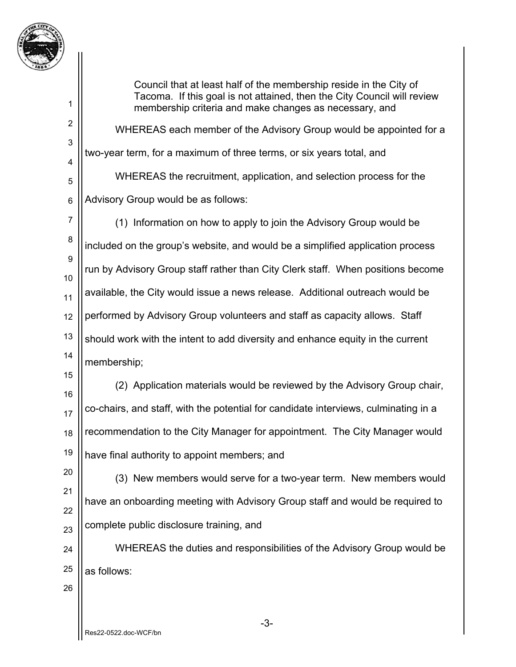

2

3

4

5

6

Council that at least half of the membership reside in the City of Tacoma. If this goal is not attained, then the City Council will review membership criteria and make changes as necessary, and

 WHEREAS each member of the Advisory Group would be appointed for a two-year term, for a maximum of three terms, or six years total, and WHEREAS the recruitment, application, and selection process for the Advisory Group would be as follows:

7 8 9 10 11 12 13 14 (1) Information on how to apply to join the Advisory Group would be included on the group's website, and would be a simplified application process run by Advisory Group staff rather than City Clerk staff. When positions become available, the City would issue a news release. Additional outreach would be performed by Advisory Group volunteers and staff as capacity allows. Staff should work with the intent to add diversity and enhance equity in the current membership;

15 16 17 18 19 (2) Application materials would be reviewed by the Advisory Group chair, co-chairs, and staff, with the potential for candidate interviews, culminating in a recommendation to the City Manager for appointment. The City Manager would have final authority to appoint members; and

20 21 22 23 (3) New members would serve for a two-year term. New members would have an onboarding meeting with Advisory Group staff and would be required to complete public disclosure training, and

24 25 WHEREAS the duties and responsibilities of the Advisory Group would be as follows:

26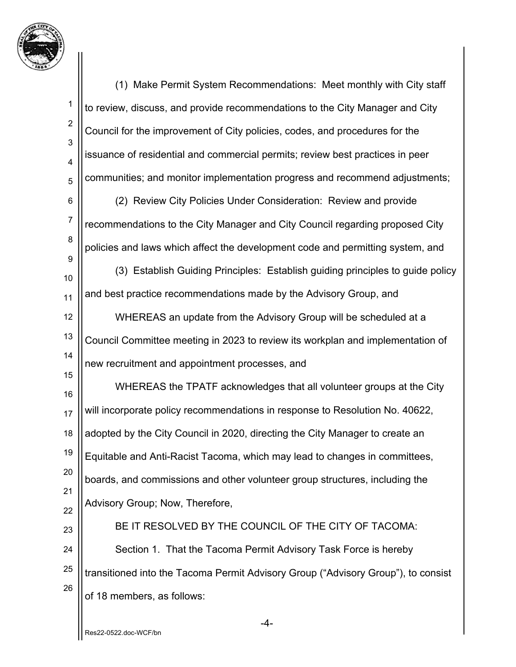

-4- 1 2 3 4 5 6 7 8 9 10 11 12 13 14 15 16 17 18 19 20 21 22 23 24 25 26 (1) Make Permit System Recommendations: Meet monthly with City staff to review, discuss, and provide recommendations to the City Manager and City Council for the improvement of City policies, codes, and procedures for the issuance of residential and commercial permits; review best practices in peer communities; and monitor implementation progress and recommend adjustments; (2) Review City Policies Under Consideration: Review and provide recommendations to the City Manager and City Council regarding proposed City policies and laws which affect the development code and permitting system, and (3) Establish Guiding Principles: Establish guiding principles to guide policy and best practice recommendations made by the Advisory Group, and WHEREAS an update from the Advisory Group will be scheduled at a Council Committee meeting in 2023 to review its workplan and implementation of new recruitment and appointment processes, and WHEREAS the TPATF acknowledges that all volunteer groups at the City will incorporate policy recommendations in response to Resolution No. 40622, adopted by the City Council in 2020, directing the City Manager to create an Equitable and Anti-Racist Tacoma, which may lead to changes in committees, boards, and commissions and other volunteer group structures, including the Advisory Group; Now, Therefore, BE IT RESOLVED BY THE COUNCIL OF THE CITY OF TACOMA: Section 1. That the Tacoma Permit Advisory Task Force is hereby transitioned into the Tacoma Permit Advisory Group ("Advisory Group"), to consist of 18 members, as follows: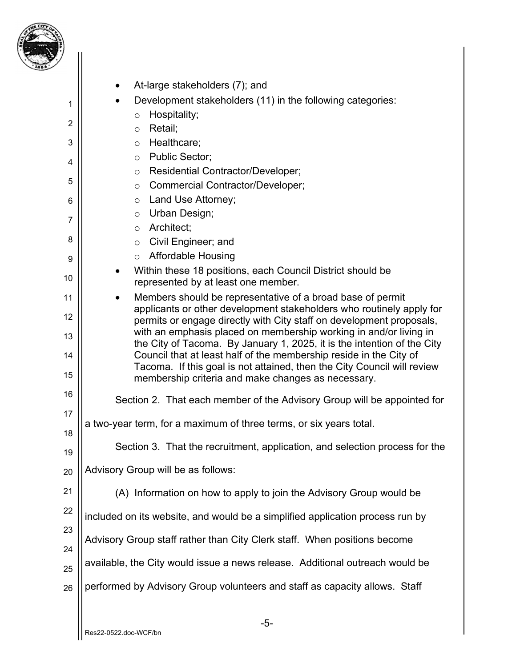

| ۰,             |                                                                                                                                                                                                                          |
|----------------|--------------------------------------------------------------------------------------------------------------------------------------------------------------------------------------------------------------------------|
|                | At-large stakeholders (7); and<br>٠                                                                                                                                                                                      |
| 1              | Development stakeholders (11) in the following categories:                                                                                                                                                               |
|                | Hospitality;<br>$\circ$                                                                                                                                                                                                  |
| $\overline{2}$ | Retail;<br>$\circ$                                                                                                                                                                                                       |
| 3              | Healthcare;<br>$\circ$                                                                                                                                                                                                   |
| 4              | <b>Public Sector;</b><br>$\circ$                                                                                                                                                                                         |
| 5              | Residential Contractor/Developer;<br>$\circ$                                                                                                                                                                             |
|                | Commercial Contractor/Developer;<br>$\circ$                                                                                                                                                                              |
| 6              | Land Use Attorney;<br>$\circ$<br>Urban Design;                                                                                                                                                                           |
| 7              | $\circ$<br>Architect:<br>$\circ$                                                                                                                                                                                         |
| 8              | Civil Engineer; and<br>$\circ$                                                                                                                                                                                           |
| 9              | <b>Affordable Housing</b><br>O                                                                                                                                                                                           |
| 10             | Within these 18 positions, each Council District should be<br>represented by at least one member.                                                                                                                        |
| 11             | Members should be representative of a broad base of permit<br>$\bullet$                                                                                                                                                  |
| 12             | applicants or other development stakeholders who routinely apply for                                                                                                                                                     |
| 13             | permits or engage directly with City staff on development proposals,<br>with an emphasis placed on membership working in and/or living in                                                                                |
| 14             | the City of Tacoma. By January 1, 2025, it is the intention of the City<br>Council that at least half of the membership reside in the City of<br>Tacoma. If this goal is not attained, then the City Council will review |
| 15             | membership criteria and make changes as necessary.                                                                                                                                                                       |
| 16             | Section 2. That each member of the Advisory Group will be appointed for                                                                                                                                                  |
| 17             | a two-year term, for a maximum of three terms, or six years total.                                                                                                                                                       |
| 18             |                                                                                                                                                                                                                          |
| 19             | Section 3. That the recruitment, application, and selection process for the                                                                                                                                              |
| 20             | Advisory Group will be as follows:                                                                                                                                                                                       |
| 21             | (A) Information on how to apply to join the Advisory Group would be                                                                                                                                                      |
| 22             | included on its website, and would be a simplified application process run by                                                                                                                                            |
| 23             | Advisory Group staff rather than City Clerk staff. When positions become                                                                                                                                                 |
| 24             | available, the City would issue a news release. Additional outreach would be                                                                                                                                             |
| 25             | performed by Advisory Group volunteers and staff as capacity allows. Staff                                                                                                                                               |
| 26             |                                                                                                                                                                                                                          |
|                |                                                                                                                                                                                                                          |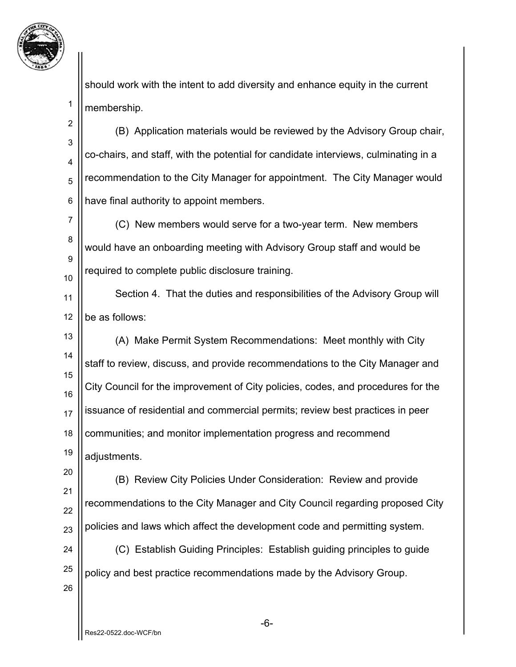

should work with the intent to add diversity and enhance equity in the current membership.

2 3 4 5 6 (B) Application materials would be reviewed by the Advisory Group chair, co-chairs, and staff, with the potential for candidate interviews, culminating in a recommendation to the City Manager for appointment. The City Manager would have final authority to appoint members.

7 8 9 10 (C) New members would serve for a two-year term. New members would have an onboarding meeting with Advisory Group staff and would be required to complete public disclosure training.

11 12 Section 4. That the duties and responsibilities of the Advisory Group will be as follows:

13 14 15 16 17 18 19 (A) Make Permit System Recommendations: Meet monthly with City staff to review, discuss, and provide recommendations to the City Manager and City Council for the improvement of City policies, codes, and procedures for the issuance of residential and commercial permits; review best practices in peer communities; and monitor implementation progress and recommend adjustments.

20 21 22 23 (B) Review City Policies Under Consideration: Review and provide recommendations to the City Manager and City Council regarding proposed City policies and laws which affect the development code and permitting system.

24 25 (C) Establish Guiding Principles: Establish guiding principles to guide policy and best practice recommendations made by the Advisory Group.

26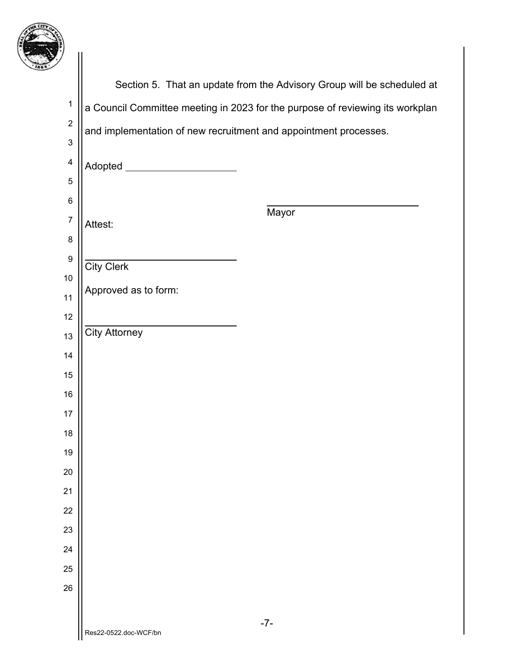

| 7                       |                                                                               |
|-------------------------|-------------------------------------------------------------------------------|
|                         | Section 5. That an update from the Advisory Group will be scheduled at        |
| $\mathbf{1}$            | a Council Committee meeting in 2023 for the purpose of reviewing its workplan |
| $\overline{2}$          | and implementation of new recruitment and appointment processes.              |
| $\sqrt{3}$              |                                                                               |
| $\overline{\mathbf{4}}$ | Adopted ______________________                                                |
| $\sqrt{5}$              |                                                                               |
| $\,6$                   | Mayor                                                                         |
| $\boldsymbol{7}$        | Attest:                                                                       |
| 8                       |                                                                               |
| $\boldsymbol{9}$<br>10  | <b>City Clerk</b>                                                             |
| 11                      | Approved as to form:                                                          |
| 12                      |                                                                               |
| 13                      | <b>City Attorney</b>                                                          |
| 14                      |                                                                               |
| 15                      |                                                                               |
| 16                      |                                                                               |
| 17                      |                                                                               |
| 18                      |                                                                               |
| 19                      |                                                                               |
| 20                      |                                                                               |
| 21                      |                                                                               |
| 22                      |                                                                               |
| 23                      |                                                                               |
| 24                      |                                                                               |
| 25                      |                                                                               |
| 26                      |                                                                               |
|                         | $-7-$                                                                         |
|                         | Res22-0522.doc-WCF/bn                                                         |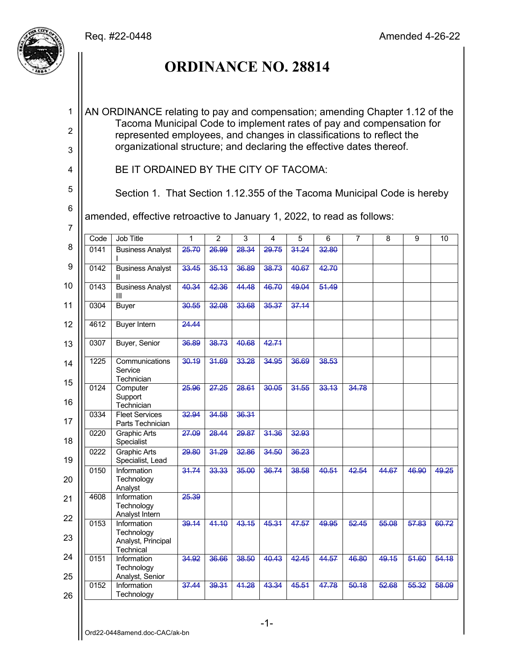

# **ORDINANCE NO. 28814**

AN ORDINANCE relating to pay and compensation; amending Chapter 1.12 of the Tacoma Municipal Code to implement rates of pay and compensation for represented employees, and changes in classifications to reflect the organizational structure; and declaring the effective dates thereof.

4

1

2

3

5

6

7

Section 1. That Section 1.12.355 of the Tacoma Municipal Code is hereby

amended, effective retroactive to January 1, 2022, to read as follows:

BE IT ORDAINED BY THE CITY OF TACOMA:

|          | Code | <b>Job Title</b>                             | 1     | $\overline{2}$ | 3     | 4     | 5     | 6     | $\overline{7}$ | 8     | 9     | 10    |
|----------|------|----------------------------------------------|-------|----------------|-------|-------|-------|-------|----------------|-------|-------|-------|
| 8        | 0141 | <b>Business Analyst</b>                      | 25.70 | 26.99          | 28.34 | 29.75 | 31.24 | 32.80 |                |       |       |       |
| 9        | 0142 | <b>Business Analyst</b><br>Ш                 | 33.45 | 35.13          | 36.89 | 38.73 | 40.67 | 42.70 |                |       |       |       |
| 10       | 0143 | <b>Business Analyst</b><br>Ш                 | 40.34 | 42.36          | 44.48 | 46.70 | 49.04 | 51.49 |                |       |       |       |
| 11       | 0304 | <b>Buyer</b>                                 | 30.55 | 32.08          | 33.68 | 35.37 | 37.14 |       |                |       |       |       |
| 12       | 4612 | <b>Buyer Intern</b>                          | 24.44 |                |       |       |       |       |                |       |       |       |
| 13       | 0307 | Buyer, Senior                                | 36.89 | 38.73          | 40.68 | 42.71 |       |       |                |       |       |       |
| 14<br>15 | 1225 | Communications<br>Service<br>Technician      | 30.19 | 31.69          | 33.28 | 34.95 | 36.69 | 38.53 |                |       |       |       |
| 16       | 0124 | Computer<br>Support<br>Technician            | 25.96 | 27.25          | 28.61 | 30.05 | 31.55 | 33.13 | 34.78          |       |       |       |
| 17       | 0334 | <b>Fleet Services</b><br>Parts Technician    | 32.94 | 34.58          | 36.31 |       |       |       |                |       |       |       |
| 18       | 0220 | <b>Graphic Arts</b><br>Specialist            | 27.09 | 28.44          | 29.87 | 31.36 | 32.93 |       |                |       |       |       |
| 19       | 0222 | <b>Graphic Arts</b><br>Specialist, Lead      | 29.80 | 31.29          | 32.86 | 34.50 | 36.23 |       |                |       |       |       |
| 20       | 0150 | Information<br>Technology<br>Analyst         | 31.74 | 33.33          | 35.00 | 36.74 | 38.58 | 40.51 | 42.54          | 44.67 | 46.90 | 49.25 |
| 21       | 4608 | Information<br>Technology<br>Analyst Intern  | 25.39 |                |       |       |       |       |                |       |       |       |
| 22       | 0153 | Information<br>Technology                    | 39.14 | 44.10          | 43.15 | 45.31 | 47.57 | 49.95 | 52.45          | 55.08 | 57.83 | 60.72 |
| 23       |      | Analyst, Principal<br>Technical              |       |                |       |       |       |       |                |       |       |       |
| 24<br>25 | 0151 | Information<br>Technology<br>Analyst, Senior | 34.92 | 36.66          | 38.50 | 40.43 | 42.45 | 44.57 | 46.80          | 49.15 | 51.60 | 54.18 |
| 26       | 0152 | Information<br>Technology                    | 37.44 | 39.31          | 44.28 | 43.34 | 45.51 | 47.78 | 50.18          | 52.68 | 55.32 | 58.09 |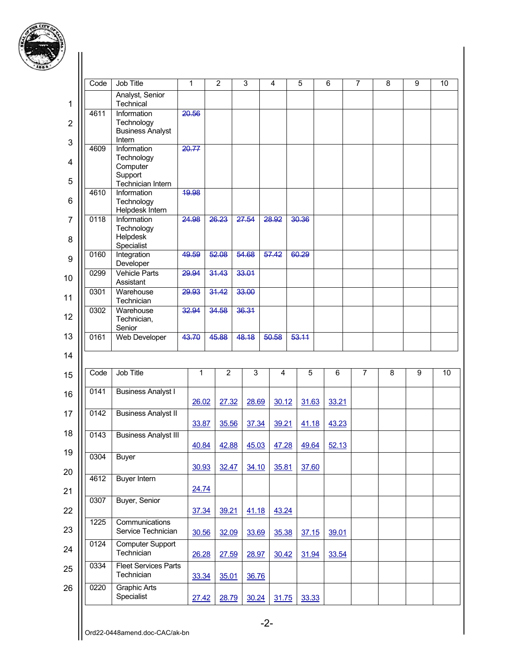

| Ŋ                              |      |                                                                |       |       |                |       |       |       |       |   |   |   |   |   |    |
|--------------------------------|------|----------------------------------------------------------------|-------|-------|----------------|-------|-------|-------|-------|---|---|---|---|---|----|
|                                | Code | <b>Job Title</b>                                               |       | 1     | $\overline{2}$ | 3     | 4     | 5     | 6     | 7 |   | 8 |   | 9 | 10 |
| 1                              |      | Analyst, Senior<br>Technical                                   |       |       |                |       |       |       |       |   |   |   |   |   |    |
| $\overline{2}$<br>$\mathbf{3}$ | 4611 | Information<br>Technology<br><b>Business Analyst</b><br>Intern |       | 20.56 |                |       |       |       |       |   |   |   |   |   |    |
|                                | 4609 | Information<br>Technology                                      |       | 20.77 |                |       |       |       |       |   |   |   |   |   |    |
| $\overline{\mathbf{4}}$<br>5   |      | Computer<br>Support<br>Technician Intern                       |       |       |                |       |       |       |       |   |   |   |   |   |    |
| $6\phantom{1}6$                | 4610 | Information<br>Technology<br>Helpdesk Intern                   |       | 19.98 |                |       |       |       |       |   |   |   |   |   |    |
| 7<br>8                         | 0118 | Information<br>Technology<br>Helpdesk<br>Specialist            | 24.98 |       | 26.23          | 27.54 | 28.92 | 30.36 |       |   |   |   |   |   |    |
| 9                              | 0160 | Integration<br>Developer                                       |       | 49.59 | 52.08          | 54.68 | 57.42 | 60.29 |       |   |   |   |   |   |    |
| 10                             | 0299 | <b>Vehicle Parts</b><br>Assistant                              |       | 29.94 | 31.43          | 33.01 |       |       |       |   |   |   |   |   |    |
| 11                             | 0301 | Warehouse<br>Technician                                        |       | 29.93 | 31.42          | 33.00 |       |       |       |   |   |   |   |   |    |
| 12                             | 0302 | Warehouse<br>Technician,<br>Senior                             | 32.94 |       | 34.58          | 36.31 |       |       |       |   |   |   |   |   |    |
| 13                             | 0161 | Web Developer                                                  |       | 43.70 | 45.88          | 48.18 | 50.58 | 53.11 |       |   |   |   |   |   |    |
| 14                             |      |                                                                |       |       |                |       |       |       |       |   |   |   |   |   |    |
| 15                             | Code | Job Title                                                      |       | 1     | $\overline{c}$ | 3     | 4     | 5     | 6     |   | 7 |   | 8 | 9 | 10 |
| 16                             | 0141 | <b>Business Analyst I</b>                                      |       | 26.02 | 27.32          | 28.69 | 30.12 | 31.63 | 33.21 |   |   |   |   |   |    |
| 17                             | 0142 | <b>Business Analyst II</b>                                     |       | 33.87 | 35.56          | 37.34 | 39.21 | 41.18 | 43.23 |   |   |   |   |   |    |
| 18                             | 0143 | <b>Business Analyst III</b>                                    |       |       |                |       |       |       |       |   |   |   |   |   |    |
| 19                             | 0304 | <b>Buyer</b>                                                   |       | 40.84 | 42.88          | 45.03 | 47.28 | 49.64 | 52.13 |   |   |   |   |   |    |
| 20                             |      |                                                                |       | 30.93 | 32.47          | 34.10 | 35.81 | 37.60 |       |   |   |   |   |   |    |
| 21                             | 4612 | <b>Buyer Intern</b>                                            |       | 24.74 |                |       |       |       |       |   |   |   |   |   |    |
| 22                             | 0307 | Buyer, Senior                                                  |       | 37.34 | 39.21          | 41.18 | 43.24 |       |       |   |   |   |   |   |    |
| 23                             | 1225 | Communications<br>Service Technician                           |       | 30.56 | 32.09          | 33.69 | 35.38 | 37.15 | 39.01 |   |   |   |   |   |    |
| 24                             | 0124 | <b>Computer Support</b><br>Technician                          |       | 26.28 | 27.59          | 28.97 | 30.42 | 31.94 | 33.54 |   |   |   |   |   |    |
| 25                             | 0334 | <b>Fleet Services Parts</b><br>Technician                      |       | 33.34 | 35.01          | 36.76 |       |       |       |   |   |   |   |   |    |
| 26                             | 0220 | <b>Graphic Arts</b><br>Specialist                              |       | 27.42 | 28.79          | 30.24 | 31.75 | 33.33 |       |   |   |   |   |   |    |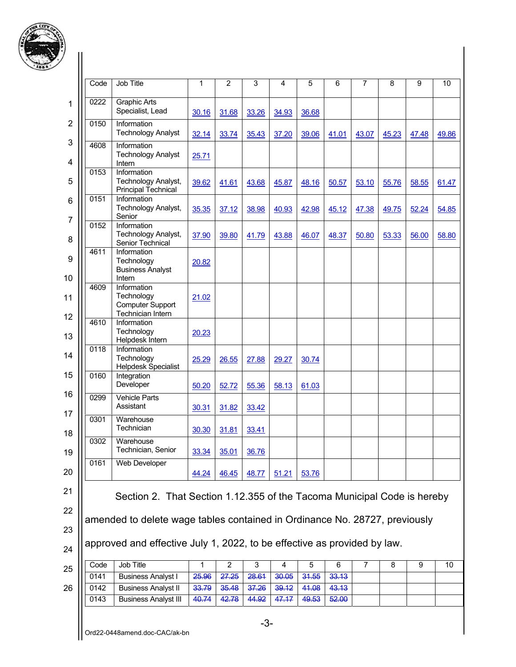

| Code | <b>Job Title</b>                                                                                                                                                                                                                  | 1              | $\overline{2}$ | 3              | 4              | 5              | 6              | $\overline{7}$ | 8     | 9     |  |
|------|-----------------------------------------------------------------------------------------------------------------------------------------------------------------------------------------------------------------------------------|----------------|----------------|----------------|----------------|----------------|----------------|----------------|-------|-------|--|
| 0222 | <b>Graphic Arts</b><br>Specialist, Lead                                                                                                                                                                                           | 30.16          | 31.68          | 33.26          | 34.93          | 36.68          |                |                |       |       |  |
| 0150 | Information<br><b>Technology Analyst</b>                                                                                                                                                                                          | 32.14          | 33.74          | 35.43          | 37.20          | 39.06          | 41.01          | 43.07          | 45.23 | 47.48 |  |
| 4608 | Information<br><b>Technology Analyst</b><br>Intern                                                                                                                                                                                | 25.71          |                |                |                |                |                |                |       |       |  |
| 0153 | Information<br>Technology Analyst,<br><b>Principal Technical</b>                                                                                                                                                                  | 39.62          | 41.61          | 43.68          | 45.87          | 48.16          | 50.57          | 53.10          | 55.76 | 58.55 |  |
| 0151 | Information<br>Technology Analyst,<br>Senior                                                                                                                                                                                      | 35.35          | 37.12          | 38.98          | 40.93          | 42.98          | 45.12          | 47.38          | 49.75 | 52.24 |  |
| 0152 | Information<br>Technology Analyst,<br>Senior Technical                                                                                                                                                                            | 37.90          | 39.80          | 41.79          | 43.88          | 46.07          | 48.37          | 50.80          | 53.33 | 56.00 |  |
| 4611 | Information<br>Technology<br><b>Business Analyst</b>                                                                                                                                                                              | 20.82          |                |                |                |                |                |                |       |       |  |
| 4609 | Intern<br>Information<br>Technology<br><b>Computer Support</b><br>Technician Intern                                                                                                                                               | 21.02          |                |                |                |                |                |                |       |       |  |
| 4610 | Information<br>Technology<br>Helpdesk Intern                                                                                                                                                                                      | 20.23          |                |                |                |                |                |                |       |       |  |
| 0118 | Information<br>Technology<br><b>Helpdesk Specialist</b>                                                                                                                                                                           | 25.29          | 26.55          | 27.88          | 29.27          | 30.74          |                |                |       |       |  |
| 0160 | Integration<br>Developer                                                                                                                                                                                                          | 50.20          | 52.72          | 55.36          | 58.13          | 61.03          |                |                |       |       |  |
| 0299 | <b>Vehicle Parts</b><br>Assistant                                                                                                                                                                                                 | 30.31          | 31.82          | 33.42          |                |                |                |                |       |       |  |
| 0301 | Warehouse<br>Technician                                                                                                                                                                                                           | 30.30          | 31.81          | 33.41          |                |                |                |                |       |       |  |
| 0302 | Warehouse<br>Technician, Senior                                                                                                                                                                                                   | 33.34          | 35.01          | 36.76          |                |                |                |                |       |       |  |
| 0161 | Web Developer                                                                                                                                                                                                                     | 44.24          | 46.45          | 48.77          | 51.21          | 53.76          |                |                |       |       |  |
|      | Section 2. That Section 1.12.355 of the Tacoma Municipal Code is hereby<br>amended to delete wage tables contained in Ordinance No. 28727, previously<br>approved and effective July 1, 2022, to be effective as provided by law. |                |                |                |                |                |                |                |       |       |  |
| Code | Job Title                                                                                                                                                                                                                         | 1              | $\overline{2}$ | 3              | 4              | 5              | 6              | $\overline{7}$ | 8     | 9     |  |
| 0141 | <b>Business Analyst I</b>                                                                                                                                                                                                         | 25.96          | 27.25          | 28.61          | 30.05          | 31.55          | 33.13          |                |       |       |  |
| 0142 | <b>Business Analyst II</b><br><b>Business Analyst III</b>                                                                                                                                                                         | 33.79<br>40.74 | 35.48<br>42.78 | 37.26<br>44.92 | 39.12<br>47.17 | 41.08<br>49.53 | 43.13<br>52.00 |                |       |       |  |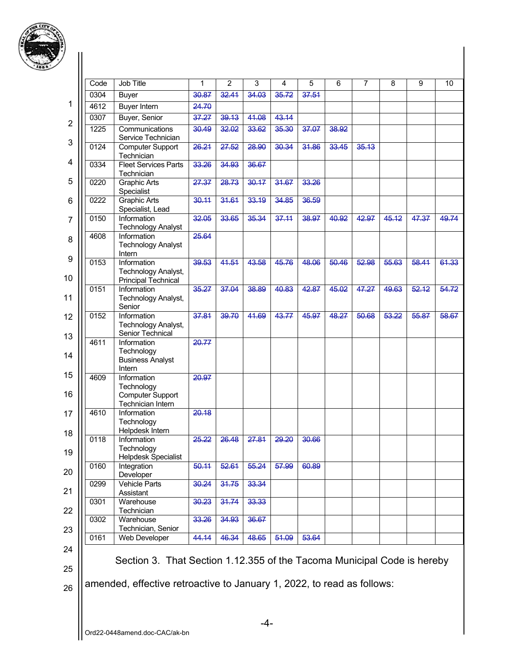

| ·)             |                                                                        |                                                                                    |       |                |       |                |       |       |       |       |       |       |
|----------------|------------------------------------------------------------------------|------------------------------------------------------------------------------------|-------|----------------|-------|----------------|-------|-------|-------|-------|-------|-------|
|                | Code                                                                   | Job Title                                                                          | 1     | $\overline{2}$ | 3     | $\overline{4}$ | 5     | 6     | 7     | 8     | 9     | 10    |
|                | 0304                                                                   | <b>Buyer</b>                                                                       | 30.87 | 32.44          | 34.03 | 35.72          | 37.51 |       |       |       |       |       |
| 1              | 4612                                                                   | <b>Buyer Intern</b>                                                                | 24.70 |                |       |                |       |       |       |       |       |       |
|                | 0307                                                                   | Buyer, Senior                                                                      | 37.27 | 39.13          | 41.08 | 43.14          |       |       |       |       |       |       |
| $\overline{2}$ | 1225                                                                   | Communications<br>Service Technician                                               | 30.49 | 32.02          | 33.62 | 35.30          | 37.07 | 38.92 |       |       |       |       |
| 3              | 0124                                                                   | <b>Computer Support</b><br>Technician                                              | 26.21 | 27.52          | 28.90 | 30.34          | 31.86 | 33.45 | 35.13 |       |       |       |
| 4              | 0334                                                                   | <b>Fleet Services Parts</b><br>Technician                                          | 33.26 | 34.93          | 36.67 |                |       |       |       |       |       |       |
| 5              | 0220                                                                   | <b>Graphic Arts</b><br>Specialist                                                  | 27.37 | 28.73          | 30.17 | 31.67          | 33.26 |       |       |       |       |       |
| 6              | 0222                                                                   | <b>Graphic Arts</b><br>Specialist, Lead                                            | 30.11 | 31.61          | 33.19 | 34.85          | 36.59 |       |       |       |       |       |
| 7              | 0150                                                                   | Information<br><b>Technology Analyst</b>                                           | 32.05 | 33.65          | 35.34 | 37.11          | 38.97 | 40.92 | 42.97 | 45.12 | 47.37 | 49.74 |
| 8              | 4608                                                                   | Information<br><b>Technology Analyst</b><br>Intern                                 | 25.64 |                |       |                |       |       |       |       |       |       |
| 9<br>10        | 0153                                                                   | Information<br>Technology Analyst,<br><b>Principal Technical</b>                   | 39.53 | 44.54          | 43.58 | 45.76          | 48.06 | 50.46 | 52.98 | 55.63 | 58.41 | 61.33 |
| 11             | 0151                                                                   | Information<br>Technology Analyst,<br>Senior                                       | 35.27 | 37.04          | 38.89 | 40.83          | 42.87 | 45.02 | 47.27 | 49.63 | 52.12 | 54.72 |
| 12             | 0152                                                                   | Information<br>Technology Analyst,                                                 | 37.81 | 39.70          | 41.69 | 43.77          | 45.97 | 48.27 | 50.68 | 53.22 | 55.87 | 58.67 |
| 13<br>14       | 4611                                                                   | Senior Technical<br>Information<br>Technology<br><b>Business Analyst</b><br>Intern | 20.77 |                |       |                |       |       |       |       |       |       |
| 15<br>16       | 4609                                                                   | Information<br>Technology<br><b>Computer Support</b><br>Technician Intern          | 20.97 |                |       |                |       |       |       |       |       |       |
| 17<br>18       | 4610                                                                   | Information<br>Technology<br>Helpdesk Intern                                       | 20.18 |                |       |                |       |       |       |       |       |       |
| 19             | 0118                                                                   | Information<br>Technology                                                          | 25.22 | 26.48          | 27.81 | 29.20          | 30.66 |       |       |       |       |       |
| 20             | 0160                                                                   | Helpdesk Specialist<br>Integration                                                 | 50.11 | 52.61          | 55.24 | 57.99          | 60.89 |       |       |       |       |       |
| 21             | 0299                                                                   | Developer<br>Vehicle Parts<br>Assistant                                            | 30.24 | 31.75          | 33.34 |                |       |       |       |       |       |       |
| 22             | 0301                                                                   | Warehouse<br>Technician                                                            | 30.23 | 31.74          | 33.33 |                |       |       |       |       |       |       |
| 23             | 0302                                                                   | Warehouse<br>Technician, Senior                                                    | 33.26 | 34.93          | 36.67 |                |       |       |       |       |       |       |
| 24             | 0161                                                                   | Web Developer                                                                      | 44.14 | 46.34          | 48.65 | 51.09          | 53.64 |       |       |       |       |       |
| 25             |                                                                        | Section 3. That Section 1.12.355 of the Tacoma Municipal Code is hereby            |       |                |       |                |       |       |       |       |       |       |
| 26             | amended, effective retroactive to January 1, 2022, to read as follows: |                                                                                    |       |                |       |                |       |       |       |       |       |       |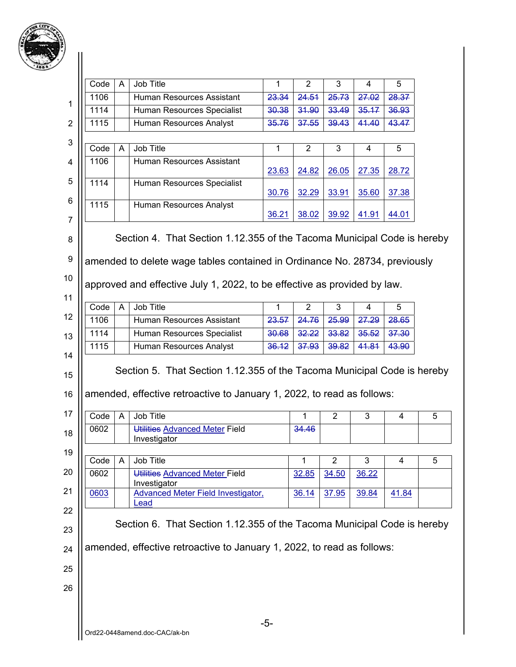

| 3<br>Job Title<br>$\mathbf{1}$<br>$\overline{2}$<br>Code<br>A<br>4<br>5<br>1106<br>Human Resources Assistant<br>23.34<br>24.51<br>25.73<br>27.02<br>28.37<br>1114<br>31.90<br>33.49<br>35.17<br>36.93<br>Human Resources Specialist<br>30.38<br>1115<br>Human Resources Analyst<br>41.40<br>43.47<br>37.55<br>39.43<br>35.76<br>Job Title<br>Code<br>$\overline{2}$<br>3<br>A<br>1<br>5<br>4<br>1106<br>Human Resources Assistant<br>23.63<br>24.82<br>26.05<br>27.35<br>28.72<br>1114<br>Human Resources Specialist<br>32.29<br>30.76<br>33.91<br>35.60<br>37.38<br>1115<br>Human Resources Analyst<br>36.21<br>38.02<br>39.92<br>41.91<br>44.01<br>Section 4. That Section 1.12.355 of the Tacoma Municipal Code is hereby<br>amended to delete wage tables contained in Ordinance No. 28734, previously<br>approved and effective July 1, 2022, to be effective as provided by law.<br>Job Title<br>Code<br>$\overline{2}$<br>3<br>A<br>5<br>1<br>$\overline{4}$<br>1106<br>Human Resources Assistant<br>23.57<br>24.76<br>25.99<br>27.29<br>28.65<br>1114<br>32.22<br>33.82<br>37.30<br>Human Resources Specialist<br>35.52<br>30.68<br>1115<br>Human Resources Analyst<br>37.93<br>43.90<br>36.12<br>39.82<br>41.81<br>Section 5. That Section 1.12.355 of the Tacoma Municipal Code is hereby<br>amended, effective retroactive to January 1, 2022, to read as follows:<br>Job Title<br>Code<br>$\overline{2}$<br>3<br>$\overline{A}$<br>1<br>4<br>Utilities Advanced Meter Field<br>34.46<br>0602<br>Investigator<br>Job Title<br>$\overline{2}$<br>$\mathfrak{Z}$<br>Code<br>1<br>A<br>4<br>0602<br>Utilities Advanced Meter Field<br>32.85<br>34.50<br>36.22<br>Investigator<br>Advanced Meter Field Investigator,<br>0603<br>41.84<br>36.14<br>37.95<br>39.84<br>Lead<br>Section 6. That Section 1.12.355 of the Tacoma Municipal Code is hereby<br>amended, effective retroactive to January 1, 2022, to read as follows: |  |       |  |  |
|--------------------------------------------------------------------------------------------------------------------------------------------------------------------------------------------------------------------------------------------------------------------------------------------------------------------------------------------------------------------------------------------------------------------------------------------------------------------------------------------------------------------------------------------------------------------------------------------------------------------------------------------------------------------------------------------------------------------------------------------------------------------------------------------------------------------------------------------------------------------------------------------------------------------------------------------------------------------------------------------------------------------------------------------------------------------------------------------------------------------------------------------------------------------------------------------------------------------------------------------------------------------------------------------------------------------------------------------------------------------------------------------------------------------------------------------------------------------------------------------------------------------------------------------------------------------------------------------------------------------------------------------------------------------------------------------------------------------------------------------------------------------------------------------------------------------------------------------------------------------------------------------------------------------------------------|--|-------|--|--|
|                                                                                                                                                                                                                                                                                                                                                                                                                                                                                                                                                                                                                                                                                                                                                                                                                                                                                                                                                                                                                                                                                                                                                                                                                                                                                                                                                                                                                                                                                                                                                                                                                                                                                                                                                                                                                                                                                                                                      |  |       |  |  |
|                                                                                                                                                                                                                                                                                                                                                                                                                                                                                                                                                                                                                                                                                                                                                                                                                                                                                                                                                                                                                                                                                                                                                                                                                                                                                                                                                                                                                                                                                                                                                                                                                                                                                                                                                                                                                                                                                                                                      |  |       |  |  |
|                                                                                                                                                                                                                                                                                                                                                                                                                                                                                                                                                                                                                                                                                                                                                                                                                                                                                                                                                                                                                                                                                                                                                                                                                                                                                                                                                                                                                                                                                                                                                                                                                                                                                                                                                                                                                                                                                                                                      |  |       |  |  |
|                                                                                                                                                                                                                                                                                                                                                                                                                                                                                                                                                                                                                                                                                                                                                                                                                                                                                                                                                                                                                                                                                                                                                                                                                                                                                                                                                                                                                                                                                                                                                                                                                                                                                                                                                                                                                                                                                                                                      |  |       |  |  |
|                                                                                                                                                                                                                                                                                                                                                                                                                                                                                                                                                                                                                                                                                                                                                                                                                                                                                                                                                                                                                                                                                                                                                                                                                                                                                                                                                                                                                                                                                                                                                                                                                                                                                                                                                                                                                                                                                                                                      |  |       |  |  |
|                                                                                                                                                                                                                                                                                                                                                                                                                                                                                                                                                                                                                                                                                                                                                                                                                                                                                                                                                                                                                                                                                                                                                                                                                                                                                                                                                                                                                                                                                                                                                                                                                                                                                                                                                                                                                                                                                                                                      |  |       |  |  |
|                                                                                                                                                                                                                                                                                                                                                                                                                                                                                                                                                                                                                                                                                                                                                                                                                                                                                                                                                                                                                                                                                                                                                                                                                                                                                                                                                                                                                                                                                                                                                                                                                                                                                                                                                                                                                                                                                                                                      |  |       |  |  |
|                                                                                                                                                                                                                                                                                                                                                                                                                                                                                                                                                                                                                                                                                                                                                                                                                                                                                                                                                                                                                                                                                                                                                                                                                                                                                                                                                                                                                                                                                                                                                                                                                                                                                                                                                                                                                                                                                                                                      |  |       |  |  |
|                                                                                                                                                                                                                                                                                                                                                                                                                                                                                                                                                                                                                                                                                                                                                                                                                                                                                                                                                                                                                                                                                                                                                                                                                                                                                                                                                                                                                                                                                                                                                                                                                                                                                                                                                                                                                                                                                                                                      |  |       |  |  |
|                                                                                                                                                                                                                                                                                                                                                                                                                                                                                                                                                                                                                                                                                                                                                                                                                                                                                                                                                                                                                                                                                                                                                                                                                                                                                                                                                                                                                                                                                                                                                                                                                                                                                                                                                                                                                                                                                                                                      |  |       |  |  |
|                                                                                                                                                                                                                                                                                                                                                                                                                                                                                                                                                                                                                                                                                                                                                                                                                                                                                                                                                                                                                                                                                                                                                                                                                                                                                                                                                                                                                                                                                                                                                                                                                                                                                                                                                                                                                                                                                                                                      |  |       |  |  |
|                                                                                                                                                                                                                                                                                                                                                                                                                                                                                                                                                                                                                                                                                                                                                                                                                                                                                                                                                                                                                                                                                                                                                                                                                                                                                                                                                                                                                                                                                                                                                                                                                                                                                                                                                                                                                                                                                                                                      |  |       |  |  |
|                                                                                                                                                                                                                                                                                                                                                                                                                                                                                                                                                                                                                                                                                                                                                                                                                                                                                                                                                                                                                                                                                                                                                                                                                                                                                                                                                                                                                                                                                                                                                                                                                                                                                                                                                                                                                                                                                                                                      |  |       |  |  |
|                                                                                                                                                                                                                                                                                                                                                                                                                                                                                                                                                                                                                                                                                                                                                                                                                                                                                                                                                                                                                                                                                                                                                                                                                                                                                                                                                                                                                                                                                                                                                                                                                                                                                                                                                                                                                                                                                                                                      |  |       |  |  |
|                                                                                                                                                                                                                                                                                                                                                                                                                                                                                                                                                                                                                                                                                                                                                                                                                                                                                                                                                                                                                                                                                                                                                                                                                                                                                                                                                                                                                                                                                                                                                                                                                                                                                                                                                                                                                                                                                                                                      |  |       |  |  |
|                                                                                                                                                                                                                                                                                                                                                                                                                                                                                                                                                                                                                                                                                                                                                                                                                                                                                                                                                                                                                                                                                                                                                                                                                                                                                                                                                                                                                                                                                                                                                                                                                                                                                                                                                                                                                                                                                                                                      |  |       |  |  |
|                                                                                                                                                                                                                                                                                                                                                                                                                                                                                                                                                                                                                                                                                                                                                                                                                                                                                                                                                                                                                                                                                                                                                                                                                                                                                                                                                                                                                                                                                                                                                                                                                                                                                                                                                                                                                                                                                                                                      |  |       |  |  |
|                                                                                                                                                                                                                                                                                                                                                                                                                                                                                                                                                                                                                                                                                                                                                                                                                                                                                                                                                                                                                                                                                                                                                                                                                                                                                                                                                                                                                                                                                                                                                                                                                                                                                                                                                                                                                                                                                                                                      |  |       |  |  |
|                                                                                                                                                                                                                                                                                                                                                                                                                                                                                                                                                                                                                                                                                                                                                                                                                                                                                                                                                                                                                                                                                                                                                                                                                                                                                                                                                                                                                                                                                                                                                                                                                                                                                                                                                                                                                                                                                                                                      |  |       |  |  |
|                                                                                                                                                                                                                                                                                                                                                                                                                                                                                                                                                                                                                                                                                                                                                                                                                                                                                                                                                                                                                                                                                                                                                                                                                                                                                                                                                                                                                                                                                                                                                                                                                                                                                                                                                                                                                                                                                                                                      |  |       |  |  |
|                                                                                                                                                                                                                                                                                                                                                                                                                                                                                                                                                                                                                                                                                                                                                                                                                                                                                                                                                                                                                                                                                                                                                                                                                                                                                                                                                                                                                                                                                                                                                                                                                                                                                                                                                                                                                                                                                                                                      |  |       |  |  |
|                                                                                                                                                                                                                                                                                                                                                                                                                                                                                                                                                                                                                                                                                                                                                                                                                                                                                                                                                                                                                                                                                                                                                                                                                                                                                                                                                                                                                                                                                                                                                                                                                                                                                                                                                                                                                                                                                                                                      |  |       |  |  |
|                                                                                                                                                                                                                                                                                                                                                                                                                                                                                                                                                                                                                                                                                                                                                                                                                                                                                                                                                                                                                                                                                                                                                                                                                                                                                                                                                                                                                                                                                                                                                                                                                                                                                                                                                                                                                                                                                                                                      |  |       |  |  |
|                                                                                                                                                                                                                                                                                                                                                                                                                                                                                                                                                                                                                                                                                                                                                                                                                                                                                                                                                                                                                                                                                                                                                                                                                                                                                                                                                                                                                                                                                                                                                                                                                                                                                                                                                                                                                                                                                                                                      |  |       |  |  |
|                                                                                                                                                                                                                                                                                                                                                                                                                                                                                                                                                                                                                                                                                                                                                                                                                                                                                                                                                                                                                                                                                                                                                                                                                                                                                                                                                                                                                                                                                                                                                                                                                                                                                                                                                                                                                                                                                                                                      |  |       |  |  |
|                                                                                                                                                                                                                                                                                                                                                                                                                                                                                                                                                                                                                                                                                                                                                                                                                                                                                                                                                                                                                                                                                                                                                                                                                                                                                                                                                                                                                                                                                                                                                                                                                                                                                                                                                                                                                                                                                                                                      |  |       |  |  |
|                                                                                                                                                                                                                                                                                                                                                                                                                                                                                                                                                                                                                                                                                                                                                                                                                                                                                                                                                                                                                                                                                                                                                                                                                                                                                                                                                                                                                                                                                                                                                                                                                                                                                                                                                                                                                                                                                                                                      |  |       |  |  |
|                                                                                                                                                                                                                                                                                                                                                                                                                                                                                                                                                                                                                                                                                                                                                                                                                                                                                                                                                                                                                                                                                                                                                                                                                                                                                                                                                                                                                                                                                                                                                                                                                                                                                                                                                                                                                                                                                                                                      |  |       |  |  |
|                                                                                                                                                                                                                                                                                                                                                                                                                                                                                                                                                                                                                                                                                                                                                                                                                                                                                                                                                                                                                                                                                                                                                                                                                                                                                                                                                                                                                                                                                                                                                                                                                                                                                                                                                                                                                                                                                                                                      |  |       |  |  |
|                                                                                                                                                                                                                                                                                                                                                                                                                                                                                                                                                                                                                                                                                                                                                                                                                                                                                                                                                                                                                                                                                                                                                                                                                                                                                                                                                                                                                                                                                                                                                                                                                                                                                                                                                                                                                                                                                                                                      |  |       |  |  |
|                                                                                                                                                                                                                                                                                                                                                                                                                                                                                                                                                                                                                                                                                                                                                                                                                                                                                                                                                                                                                                                                                                                                                                                                                                                                                                                                                                                                                                                                                                                                                                                                                                                                                                                                                                                                                                                                                                                                      |  |       |  |  |
|                                                                                                                                                                                                                                                                                                                                                                                                                                                                                                                                                                                                                                                                                                                                                                                                                                                                                                                                                                                                                                                                                                                                                                                                                                                                                                                                                                                                                                                                                                                                                                                                                                                                                                                                                                                                                                                                                                                                      |  |       |  |  |
|                                                                                                                                                                                                                                                                                                                                                                                                                                                                                                                                                                                                                                                                                                                                                                                                                                                                                                                                                                                                                                                                                                                                                                                                                                                                                                                                                                                                                                                                                                                                                                                                                                                                                                                                                                                                                                                                                                                                      |  | $-5-$ |  |  |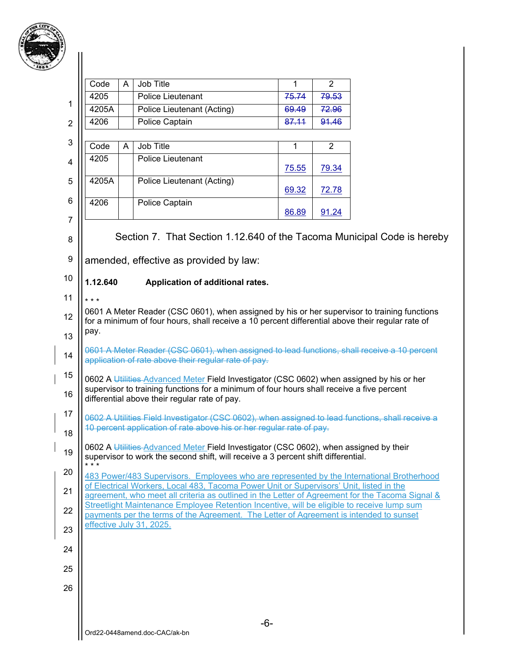

|                | Code     | A | Job Title                                                                                                                                                                                  | 1              | $\overline{2}$ |  |
|----------------|----------|---|--------------------------------------------------------------------------------------------------------------------------------------------------------------------------------------------|----------------|----------------|--|
|                | 4205     |   | Police Lieutenant                                                                                                                                                                          | 75.74          | 79.53          |  |
| 1              | 4205A    |   | <b>Police Lieutenant (Acting)</b>                                                                                                                                                          | 69.49          | 72.96          |  |
| $\overline{2}$ | 4206     |   | Police Captain                                                                                                                                                                             | 87.11          | 91.46          |  |
| 3              | Code     | Α | Job Title                                                                                                                                                                                  | 1              | $\overline{2}$ |  |
| 4              | 4205     |   | Police Lieutenant                                                                                                                                                                          |                |                |  |
| 5              | 4205A    |   | Police Lieutenant (Acting)                                                                                                                                                                 | 75.55<br>69.32 | 79.34<br>72.78 |  |
| 6              | 4206     |   | Police Captain                                                                                                                                                                             |                |                |  |
| $\overline{7}$ |          |   |                                                                                                                                                                                            | 86.89          | 91.24          |  |
| 8              |          |   | Section 7. That Section 1.12.640 of the Tacoma Municipal Code is hereby                                                                                                                    |                |                |  |
| 9              |          |   | amended, effective as provided by law:                                                                                                                                                     |                |                |  |
| 10             | 1.12.640 |   | Application of additional rates.                                                                                                                                                           |                |                |  |
| 11             | $***$    |   |                                                                                                                                                                                            |                |                |  |
| 12             |          |   | 0601 A Meter Reader (CSC 0601), when assigned by his or her supervisor to training functions                                                                                               |                |                |  |
| 13             | pay.     |   | for a minimum of four hours, shall receive a 10 percent differential above their regular rate of                                                                                           |                |                |  |
| 14             |          |   | 0601 A Meter Reader (CSC 0601), when assigned to lead functions, shall receive a 10 percent<br>application of rate above their regular rate of pay.                                        |                |                |  |
| 15             |          |   | 0602 A Utilities Advanced Meter Field Investigator (CSC 0602) when assigned by his or her                                                                                                  |                |                |  |
| 16             |          |   | supervisor to training functions for a minimum of four hours shall receive a five percent<br>differential above their regular rate of pay.                                                 |                |                |  |
| 17             |          |   | 0602 A Utilities Field Investigator (CSC 0602), when assigned to lead functions, shall receive a                                                                                           |                |                |  |
| 18             |          |   | 10 percent application of rate above his or her regular rate of pay.                                                                                                                       |                |                |  |
| 19             |          |   | 0602 A Utilities Advanced Meter Field Investigator (CSC 0602), when assigned by their<br>supervisor to work the second shift, will receive a 3 percent shift differential.                 |                |                |  |
| 20             | $***$    |   | 483 Power/483 Supervisors. Employees who are represented by the International Brotherhood                                                                                                  |                |                |  |
| 21             |          |   | of Electrical Workers, Local 483, Tacoma Power Unit or Supervisors' Unit, listed in the<br>agreement, who meet all criteria as outlined in the Letter of Agreement for the Tacoma Signal & |                |                |  |
| 22             |          |   | Streetlight Maintenance Employee Retention Incentive, will be eligible to receive lump sum<br>payments per the terms of the Agreement. The Letter of Agreement is intended to sunset       |                |                |  |
| 23             |          |   | effective July 31, 2025.                                                                                                                                                                   |                |                |  |
| 24             |          |   |                                                                                                                                                                                            |                |                |  |
| 25             |          |   |                                                                                                                                                                                            |                |                |  |
| 26             |          |   |                                                                                                                                                                                            |                |                |  |
|                |          |   |                                                                                                                                                                                            |                |                |  |
|                |          |   | Ord22-0448amend.doc-CAC/ak-bn                                                                                                                                                              | $-6-$          |                |  |